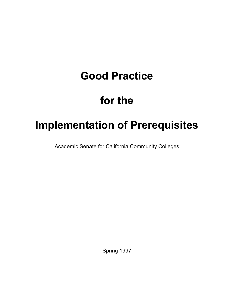# **Good Practice**

# **for the**

# **Implementation of Prerequisites**

Academic Senate for California Community Colleges

Spring 1997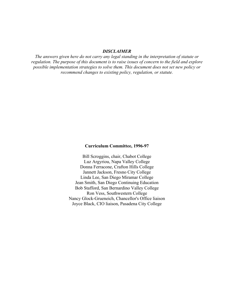#### *DISCLAIMER*

*The answers given here do not carry any legal standing in the interpretation of statute or regulation. The purpose of this document is to raise issues of concern to the field and explore possible implementation strategies to solve them. This document does not set new policy or recommend changes to existing policy, regulation, or statute.*

#### **Curriculum Committee, 1996-97**

Bill Scroggins, chair, Chabot College Luz Argyriou, Napa Valley College Donna Ferracone, Crafton Hills College Jannett Jackson, Fresno City College Linda Lee, San Diego Miramar College Jean Smith, San Diego Continuing Education Bob Stafford, San Bernardino Valley College Ron Vess, Southwestern College Nancy Glock-Grueneich, Chancellor's Office liaison Joyce Black, CIO liaison, Pasadena City College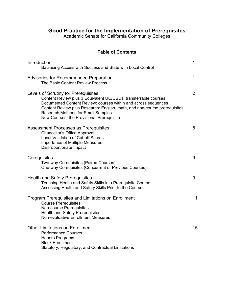# **Good Practice for the Implementation of Prerequisites**

Academic Senate for California Community Colleges

# **Table of Contents**

| Introduction<br>Balancing Access with Success and State with Local Control                                                                                                                                                                                                                                                                       | 1              |
|--------------------------------------------------------------------------------------------------------------------------------------------------------------------------------------------------------------------------------------------------------------------------------------------------------------------------------------------------|----------------|
| <b>Advisories for Recommended Preparation</b><br>The Basic Content Review Process                                                                                                                                                                                                                                                                | 1              |
| Levels of Scrutiny for Prerequisites<br>Content Review plus 3 Equivalent UC/CSUs: transferrable courses<br>Documented Content Review: courses within and across sequences<br>Content Review plus Research: English, math, and non-course prerequisites<br><b>Research Methods for Small Samples</b><br>New Courses: the Provisional Prerequisite | $\overline{2}$ |
| <b>Assessment Processes as Prerequisites</b><br><b>Chancellor's Office Approval</b><br><b>Local Validation of Cut-off Scores</b><br><b>Importance of Multiple Measures</b><br>Disproportionate Impact                                                                                                                                            | 8              |
| Corequisites<br>Two-way Corequisites (Paired Courses)<br>One-way Corequisites (Concurrent or Previous Courses)                                                                                                                                                                                                                                   | 9              |
| <b>Health and Safety Prerequisites</b><br>Teaching Health and Safety Skills in a Prerequisite Course<br>Assessing Health and Safety Skills Prior to the Course                                                                                                                                                                                   | 9              |
| Program Prerequisites and Limitations on Enrollment<br><b>Course Prerequisites</b><br><b>Non-course Prerequisites</b><br><b>Health and Safety Prerequisites</b><br>Non-evaluative Enrollment Measures                                                                                                                                            | 11             |
| <b>Other Limitations on Enrollment</b><br><b>Performance Courses</b><br><b>Honors Programs</b><br><b>Block Enrollment</b><br>Statutory, Regulatory, and Contractual Limitations                                                                                                                                                                  | 15             |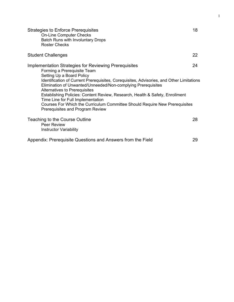| Strategies to Enforce Prerequisites<br><b>On-Line Computer Checks</b><br>Batch Runs with Involuntary Drops<br><b>Roster Checks</b>                                                                                                                                                                                                                                                                                                                                                                                                                     | 18 |
|--------------------------------------------------------------------------------------------------------------------------------------------------------------------------------------------------------------------------------------------------------------------------------------------------------------------------------------------------------------------------------------------------------------------------------------------------------------------------------------------------------------------------------------------------------|----|
| <b>Student Challenges</b>                                                                                                                                                                                                                                                                                                                                                                                                                                                                                                                              | 22 |
| Implementation Strategies for Reviewing Prerequisites<br>Forming a Prerequisite Team<br>Setting Up a Board Policy<br>Identification of Current Prerequisites, Corequisites, Advisories, and Other Limitations<br>Elimination of Unwanted/Unneeded/Non-complying Prerequisites<br>Alternatives to Prerequisites<br>Establishing Policies: Content Review, Research, Health & Safety, Enrollment<br>Time Line for Full Implementation<br>Courses For Which the Curriculum Committee Should Require New Prerequisites<br>Prerequisites and Program Review | 24 |
| Teaching to the Course Outline<br><b>Peer Review</b><br><b>Instructor Variability</b>                                                                                                                                                                                                                                                                                                                                                                                                                                                                  | 28 |
| Appendix: Prerequisite Questions and Answers from the Field                                                                                                                                                                                                                                                                                                                                                                                                                                                                                            | 29 |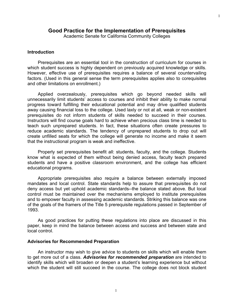#### **Good Practice for the Implementation of Prerequisites**

Academic Senate for California Community Colleges

#### **Introduction**

 Prerequisites are an essential tool in the construction of curriculum for courses in which student success is highly dependent on previously acquired knowledge or skills. However, effective use of prerequisites requires a balance of several countervailing factors. (Used in this general sense the term prerequisites applies also to corequisites and other limitations on enrollment.)

 Applied overzealously, prerequisites which go beyond needed skills will unnecessarily limit students' access to courses and inhibit their ability to make normal progress toward fulfilling their educational potential and may drive qualified students away causing financial loss to the college. Used laxly or not at all, weak or non-existent prerequisites do not inform students of skills needed to succeed in their courses. Instructors will find course goals hard to achieve when precious class time is needed to teach such unprepared students. In fact, these situations often create pressures to reduce academic standards. The tendency of unprepared students to drop out will create unfilled seats for which the college will generate no income and make it seem that the instructional program is weak and ineffective.

 Properly set prerequisites benefit all: students, faculty, and the college. Students know what is expected of them without being denied access, faculty teach prepared students and have a positive classroom environment, and the college has efficient educational programs.

 Appropriate prerequisites also require a balance between externally imposed mandates and local control. State standards help to assure that prerequisites do not deny access but yet uphold academic standards--the balance stated above. But local control must be maintained over the mechanisms employed to institute prerequisites and to empower faculty in assessing academic standards. Striking this balance was one of the goals of the framers of the Title 5 prerequisite regulations passed in September of 1993.

 As good practices for putting these regulations into place are discussed in this paper, keep in mind the balance between access and success and between state and local control.

#### **Advisories for Recommended Preparation**

 An instructor may wish to give advice to students on skills which will enable them to get more out of a class. *Advisories for recommended preparation* are intended to identify skills which will broaden or deepen a student's learning experience but without which the student will still succeed in the course. The college does not block student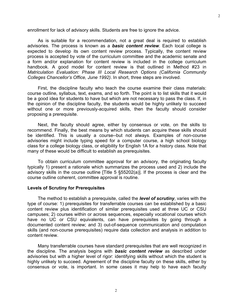enrollment for lack of advisory skills. Students are free to ignore the advice.

 As is suitable for a recommendation, not a great deal is required to establish advisories. The process is known as a *basic content review*. Each local college is expected to develop its own content review process. Typically, the content review process is accepted by vote of the curriculum committee and the academic senate and a form and/or explanation for content review is included in the college curriculum handbook. A good model for content review is that outlined in Method #23 in *Matriculation Evaluation: Phase III Local Research Options (California Community Colleges Chancellor's Office, June 1992)*. In short, three steps are involved.

 First, the discipline faculty who teach the course examine their class materials: course outline, syllabus, text, exams, and so forth. The point is to list skills that it would be a good idea for students to have but which are not necessary to pass the class. If, in the opinion of the discipline faculty, the students would be highly unlikely to succeed without one or more previously-acquired skills, then the faculty should consider proposing a prerequisite.

 Next, the faculty should agree, either by consensus or vote, on the skills to recommend. Finally, the best means by which students can acquire these skills should be identified. This is usually a course--but not always. Examples of non-course advisories might include typing speed for a computer course, a high school biology class for a college biology class, or eligibility for English 1A for a history class. Note that many of these would be difficult to establish as prerequisites.

 To obtain curriculum committee approval for an advisory, the originating faculty typically 1) present a rationale which summarizes the process used and 2) include the advisory skills in the course outline [Title 5 §55202(a)]. If the process is clear and the course outline coherent, committee approval is routine.

#### **Levels of Scrutiny for Prerequisites**

 The method to establish a prerequisite, called the *level of scrutiny*, varies with the type of course: 1) prerequisites for transferrable courses can be established by a basic content review plus identification of similar prerequisites used at three UC or CSU campuses; 2) courses within or across sequences, especially vocational courses which have no UC or CSU equivalents, can have prerequisites by going through a documented content review; and 3) out-of-sequence communication and computation skills (and non-course prerequisites) require data collection and analysis in addition to content review.

 Many transferrable courses have standard prerequisites that are well recognized in the discipline. The analysis begins with *basic content review* as described under advisories but with a higher level of rigor: identifying skills without which the student is highly unlikely to succeed. Agreement of the discipline faculty on these skills, either by consensus or vote, is important. In some cases it may help to have each faculty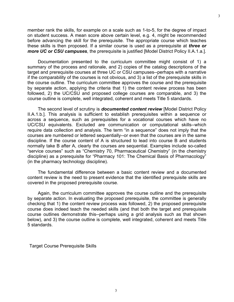member rank the skills, for example on a scale such as 1-to-5, for the degree of impact on student success. A mean score above certain level, e.g. 4, might be recommended before advancing the skill for the prerequisite. The appropriate course which teaches these skills is then proposed. If a similar course is used as a prerequisite at *three or more UC or CSU campuses*, the prerequisite is justified [Model District Policy II.A.1.a.].

 Documentation presented to the curriculum committee might consist of 1) a summary of the process and rationale, and 2) copies of the catalog descriptions of the target and prerequisite courses at three UC or CSU campuses--perhaps with a narrative if the comparability of the courses is not obvious, and 3) a list of the prerequisite skills in the course outline. The curriculum committee approves the course and the prerequisite by separate action, applying the criteria that 1) the content review process has been followed, 2) the UC/CSU and proposed college courses are comparable, and 3) the course outline is complete, well integrated, coherent and meets Title 5 standards.

 The second level of scrutiny is *documented content review* [Model District Policy II.A.1.b.]. This analysis is sufficient to establish prerequisites within a sequence or across a sequence, such as prerequisites for a vocational courses which have no UC/CSU equivalents. Excluded are communication or computational skills--which require data collection and analysis. The term "in a sequence" does not imply that the courses are numbered or lettered sequentially--or even that the courses are in the same discipline. If the course content of A is structured to lead into course B and students normally take B after A, clearly the courses are sequential. Examples include so-called "service courses" such as "Chemistry 70, Pharmaceutical Chemistry" (in the chemistry discipline) as a prerequisite for "Pharmacy 101: The Chemical Basis of Pharmacology" (in the pharmacy technology discipline).

 The fundamental difference between a basic content review and a documented content review is the need to present evidence that the identified prerequisite skills are covered in the proposed prerequisite course.

 Again, the curriculum committee approves the course outline and the prerequisite by separate action. In evaluating the proposed prerequisite, the committee is generally checking that 1) the content review process was followed, 2) the proposed prerequisite course does indeed teach the needed skills (and that both the target and prerequisite course outlines demonstrate this--perhaps using a grid analysis such as that shown below), and 3) the course outline is complete, well integrated, coherent and meets Title 5 standards.

Target Course Prerequisite Skills

3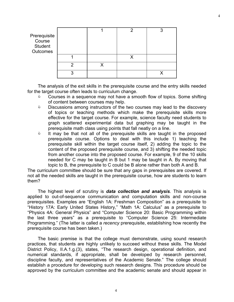| Prerequisite<br>Course<br>Student<br>Outcomes |   |  |  |
|-----------------------------------------------|---|--|--|
|                                               |   |  |  |
|                                               |   |  |  |
|                                               | ◠ |  |  |

 The analysis of the exit skills in the prerequisite course and the entry skills needed for the target course often leads to curriculum change.

- $\Diamond$  Courses in a sequence may not have a smooth flow of topics. Some shifting of content between courses may help.
- **EXECUSSIONS AMONG INSTANCT COVERGED** the two courses may lead to the discovery of topics or teaching methods which make the prerequisite skills more effective for the target course. For example, science faculty need students to graph scattered experimental data but graphing may be taught in the prerequisite math class using points that fall neatly on a line.
- **It may be that not all of the prerequisite skills are taught in the proposed** prerequisite course. Options to deal with this include 1) teaching the prerequisite skill within the target course itself, 2) adding the topic to the content of the proposed prerequisite course, and 3) shifting the needed topic from another course into the proposed course. For example, 9 of the 10 skills needed for C may be taught in B but 1 may be taught in A. By moving that topic to B, the prerequisite to C could be B alone rather than both A and B.

The curriculum committee should be sure that any gaps in prerequisites are covered. If not all the needed skills are taught in the prerequisite course, how are students to learn them?

 The highest level of scrutiny is *data collection and analysis*. This analysis is applied to out-of-sequence communication and computation skills and non-course prerequisites. Examples are "English 1A: Freshman Composition" as a prerequisite to "History 17A: Early United States History," "Math 1A: Calculus" as a prerequisite to "Physics 4A: General Physics" and "Computer Science 20: Basic Programming within the last three years" as a prerequisite to "Computer Science 25: Intermediate Programming." (The latter is called a *recency* prerequisite, establishing how recently the prerequisite course has been taken.)

 The basic premise is that the college must demonstrate, using sound research practices, that students are highly unlikely to succeed without these skills. The Model District Policy, II.A.1.g.(3), states, "The research design, operational definition, and numerical standards, if appropriate, shall be developed by research personnel, discipline faculty, and representatives of the Academic Senate." The college should establish a procedure for developing such research designs. This procedure should be approved by the curriculum committee and the academic senate and should appear in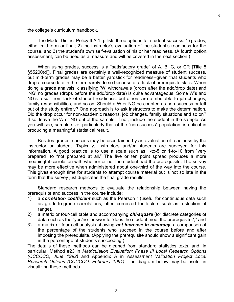the college's curriculum handbook.

 The Model District Policy II.A.1.g. lists three options for student success: 1) grades, either mid-term or final; 2) the instructor's evaluation of the student's readiness for the course, and 3) the student's own self-evaluation of his or her readiness. (A fourth option, assessment, can be used as a measure and will be covered in the next section.)

When using grades, success is a "satisfactory grade" of A, B, C, or CR [Title 5 §55200(d)]. Final grades are certainly a well-recognized measure of student success, but mid-term grades may be a better yardstick for readiness--given that students who drop a course late in the term rarely do so because of a lack of prerequisite skills. When doing a grade analysis, classifying 'W' withdrawals (drops after the add/drop date) and 'NG' no grades (drops before the add/drop date) is quite advantageous. Some W's and NG's result from lack of student readiness, but others are attributable to job changes, family responsibilities, and so on. Should a W or NG be counted as non-success or left out of the study entirely? One approach is to ask instructors to make the determination. Did the drop occur for non-academic reasons, job changes, family situations and so on? If so, leave the W or NG out of the sample. If not, include the student in the sample. As you will see, sample size, particularly that of the "non-success" population, is critical in producing a meaningful statistical result.

 Besides grades, success may be ascertained by an evaluation of readiness by the instructor or student. Typically, instructors and/or students are surveyed for this information. A good practice is to use a scale such as 1-to-5 or 1-to-10 from "very prepared" to "not prepared at all." The five or ten point spread produces a more meaningful correlation with whether or not the student had the prerequisite. The survey may be more effective when administered about one-third of the way into the course. This gives enough time for students to attempt course material but is not so late in the term that the survey just duplicates the final grade results.

 Standard research methods to evaluate the relationship between having the prerequisite and success in the course include:

- 1) a *correlation coefficient* such as the Pearson r (useful for continuous data such as grade-to-grade correlations, often corrected for factors such as restriction of range),
- 2) a matrix or four-cell table and accompanying *chi-square* (for discrete categories of data such as the "yes/no" answer to "does the student meet the prerequisite?," and
- 3) a matrix or four-cell analysis showing *net increase in accuracy*, a comparison of the percentage of the students who succeed in the course before and after imposing the prerequisite. (Applying the prerequisite should show a significant gain in the percentage of students succeeding.)

The details of these methods can be gleaned from standard statistics texts, and, in particular, Method #23 in *Matriculation Evaluation: Phase III Local Research Options (CCCCCO, June 1992)* and Appendix A in *Assessment Validation Project Local Research Options (CCCCCO, February 1991)*. The diagram below may be useful in visualizing these methods.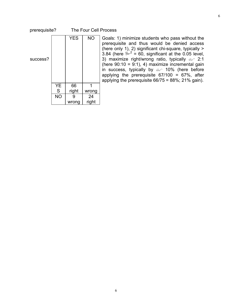#### prerequisite? The Four Cell Process

| success? |           | <b>YES</b> | <b>NO</b> |
|----------|-----------|------------|-----------|
|          | YE<br>S   | 66         | 1         |
|          |           | right      | wrong     |
|          | <b>NO</b> | 9          | 24        |
|          |           | wrong      | right     |

Goals: 1) minimize students who pass without the prerequisite and thus would be denied access (here only 1), 2) significant chi-square, typically > 3.84 (here  $\approx^2$  = 60, significant at the 0.05 level, 3) maximize right/wrong ratio, typically  $\mathcal{A}$  2:1 (here  $90:10 = 9:1$ ), 4) maximize incremental gain in success, typically by  $\infty$  10% (here before applying the prerequisite  $67/100 = 67\%$ , after applying the prerequisite 66/75 = 88%; 21% gain).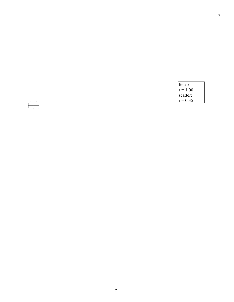| linear:    |  |
|------------|--|
| $r = 1.00$ |  |
| scatter:   |  |
| $r = 0.35$ |  |

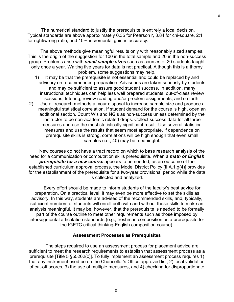The numerical standard to justify the prerequisite is entirely a local decision. Typical standards are above approximately 0.35 for Pearson r, 3.84 for chi-square, 2:1 for right/wrong ratio, and 10% incremental gain in accuracy.

 The above methods give meaningful results only with reasonably sized samples. This is the origin of the suggestion for 100 in the total sample and 20 in the non-success group. Problems arise with *small sample sizes* such as courses of 20 students taught only once a year. Waiting five years for data is not practical. Although this is a thorny problem, some suggestions may help.

- 1) It may be that the prerequisite is not essential and could be replaced by and advisory on recommended preparation. Advisories are taken seriously by students and may be sufficient to assure good student success. In addition, many instructional techniques can help less well prepared students: out-of-class review sessions, tutoring, review reading and/or problem assignments, and so forth.
- 2) Use all research methods at your disposal to increase sample size and produce a meaningful statistical correlation. If student demand for the course is high, open an additional section. Count W's and NG's as non-success unless determined by the instructor to be non-academic related drops. Collect success data for all three measures and use the most statistically significant result. Use several statistical measures and use the results that seem most appropriate. If dependence on prerequisite skills is strong, correlations will be high enough that even small samples (i.e., 40) may be meaningful.

 New courses do not have a tract record on which to base research analysis of the need for a communication or computation skills prerequisite. When a *math or English prerequisite for a new course* appears to be needed, as an outcome of the established curriculum approval process, the Model District Policy [II.A.1.g(4)] provides for the establishment of the prerequisite for a two-year provisional period while the data is collected and analyzed.

 Every effort should be made to inform students of the faculty's best advice for preparation. On a practical level, it may even be more effective to set the skills as advisory. In this way, students are advised of the recommended skills, and, typically, sufficient numbers of students will enroll both with and without those skills to make an analysis meaningful. It may be, however, that the prerequisite is needed to be formally part of the course outline to meet other requirements such as those imposed by intersegmental articulation standards (e.g., freshman composition as a prerequisite for the IGETC critical thinking-English composition course).

#### **Assessment Processes as Prerequisites**

 The steps required to use an assessment process for placement advice are sufficient to meet the research requirements to establish that assessment process as a prerequisite [Title 5 §55202(c)]. To fully implement an assessment process requires 1) that any instrument used be on the Chancellor's Office approved list, 2) local validation of cut-off scores, 3) the use of multiple measures, and 4) checking for disproportionate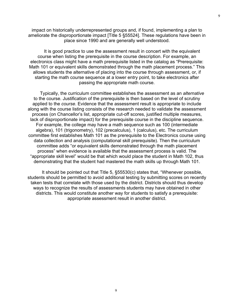impact on historically underrepresented groups and, if found, implementing a plan to ameliorate the disproportionate impact [Title 5 §55524]. These regulations have been in place since 1990 and are generally well understood.

 It is good practice to use the assessment result in concert with the equivalent course when listing the prerequisite in the course description. For example, an electronics class might have a math prerequisite listed in the catalog as "Prerequisite: Math 101 or equivalent skills demonstrated through the math placement process." This allows students the alternative of placing into the course through assessment, or, if starting the math course sequence at a lower entry point, to take electronics after passing the appropriate math course.

 Typically, the curriculum committee establishes the assessment as an *alternative* to the course. Justification of the prerequisite is then based on the level of scrutiny applied to the *course*. Evidence that the assessment result is appropriate to include along with the course listing consists of the research needed to validate the assessment process (on Chancellor's list, appropriate cut-off scores, justified multiple measures, lack of disproportionate impact) for the prerequisite course in the discipline sequence. For example, the college may have a math sequence such as 100 (intermediate algebra), 101 (trigonometry), 102 (precalculus), 1 (calculus), etc. The curriculum committee first establishes Math 101 as the prerequisite to the Electronics course using data collection and analysis (computational skill prerequisite). Then the curriculum committee adds "or equivalent skills demonstrated through the math placement process" when evidence is available that the assessment process is valid. The "appropriate skill level" would be that which would place the student in Math 102, thus demonstrating that the student had mastered the math skills up through Math 101.

 It should be pointed out that Title 5, §55530(c) states that, "Whenever possible, students should be permitted to avoid additional testing by submitting scores on recently taken tests that correlate with those used by the district. Districts should thus develop ways to recognize the results of assessments students may have obtained in other districts. This would constitute another way for students to satisfy a prerequisite: appropriate assessment result in another district.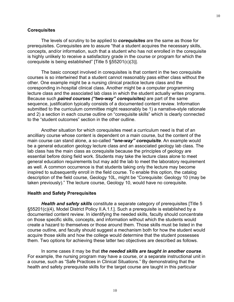#### **Corequisites**

 The levels of scrutiny to be applied to *corequisites* are the same as those for prerequisites. Corequisites are to assure "that a student acquires the necessary skills, concepts, and/or information, such that a student who has not enrolled in the corequisite is highly unlikely to receive a satisfactory grade in the course or program for which the corequisite is being established" [Title 5 §55201(c)(3)].

 The basic concept involved in corequisites is that content in the two corequisite courses is so intertwined that a student cannot reasonably pass either class without the other. One example might be a nursing clinical practice lecture class and the coresponding in-hospital clinical class. Another might be a computer programming lecture class and the associated lab class in which the student actually writes programs. Because such *paired courses ("two-way" corequisites)* are part of the same sequence, justification typically consists of a documented content review. Information submitted to the curriculum committee might reasonably be 1) a narrative-style rationale and 2) a section in each course outline on "corequisite skills" which is clearly connected to the "student outcomes" section in the other outline.

 Another situation for which corequisites meet a curriculum need is that of an ancilliary course whose content is dependent on a main course, but the content of the main course can stand alone, a so-called *"one-way" corequisite*. An example would be a general education geology lecture class and an associated geology lab class. The lab class has the main class as corequisite because the principles of geology are essential before doing field work. Students may take the lecture class alone to meet general education requirements but may add the lab to meet the laboratory requirement as well. A common occurrence is that students taking only the lecture may become inspired to subsequently enroll in the field course. To enable this option, the catalog description of the field course, Geology 10L, might be "Corequisite: Geology 10 (may be taken previously)." The lecture course, Geology 10, would have no corequisite.

#### **Health and Safety Prerequisites**

*Health and safety skills* constitute a separate category of prerequisites [Title 5 §55201(c)(4), Model District Policy II.A.1.f.]. Such a prerequisite is established by a documented content review. In identifying the needed skills, faculty should concentrate on those specific skills, concepts, and information without which the students would create a hazard to themselves or those around them. Those skills must be listed in the course outline, and faculty should suggest a mechanism both for how the student would acquire those skills and how the college would determine that the student possesses them. Two options for achieving these latter two objectives are described as follows.

 In some cases it may be that *the needed skills are taught in another course*. For example, the nursing program may have a course, or a separate instructional unit in a course, such as "Safe Practices in Clinical Situations." By demonstrating that the health and safety prerequisite skills for the target course are taught in this particular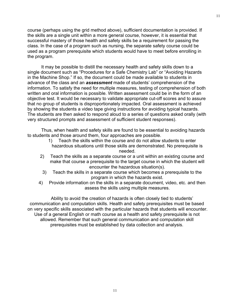course (perhaps using the grid method above), sufficient documentation is provided. If the skills are a single unit within a more general course, however, it is essential that successful mastery of those health and safety skills be a requirement for passing the class. In the case of a program such as nursing, the separate safety course could be used as a program prerequisite which students would have to meet before enrolling in the program.

 It may be possible to distill the necessary health and safety skills down to a single document such as "Procedures for a Safe Chemistry Lab" or "Avoiding Hazards in the Machine Shop." If so, the document could be made available to students in advance of the class and an *assessment* made of students' comprehension of the information. To satisfy the need for multiple measures, testing of comprehension of both written and oral information is possible. Written assessment could be in the form of an objective test. It would be necessary to validate appropriate cut-off scores and to assure that no group of students is disproportionately impacted. Oral assessment is achieved by showing the students a video tape giving instructions for avoiding typical hazards. The students are then asked to respond aloud to a series of questions asked orally (with very structured prompts and assessment of sufficient student responses).

 Thus, when health and safety skills are found to be essential to avoiding hazards to students and those around them, four approaches are possible.

- 1) Teach the skills within the course and do not allow students to enter hazardous situations until those skills are demonstrated. No prerequisite is needed.
- 2) Teach the skills as a separate course or a unit within an existing course and make that course a prerequisite to the target course in which the student will encounter the hazardous situation(s).
- 3) Teach the skills in a separate course which becomes a prerequisite to the program in which the hazards exist.
- 4) Provide information on the skills in a separate document, video, etc. and then assess the skills using multiple measures.

 Ability to avoid the creation of hazards is often closely tied to students' communication and computation skills. Health and safety prerequisites must be based on very specific skills associated with the particular hazards that students will encounter. Use of a general English or math course as a health and safety prerequisite is not allowed. Remember that such general communication and computation skill prerequisites must be established by data collection and analysis.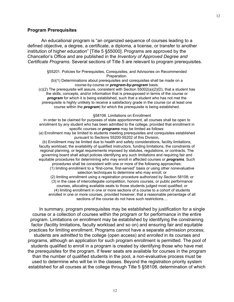#### **Program Prerequisites**

 An educational program is "an organized sequence of courses leading to a defined objective, a degree, a certificate, a diploma, a license, or transfer to another institution of higher education" [Title 5 §55000]. Programs are approved by the Chancellor's Office and are published in the *Inventory of Approved Degree and Certificate Programs*. Several sections of Title 5 are relevant to program prerequisites.

> §55201. Policies for Prerequisites, Corequisites, and Advisories on Recommended Preparation.

(b)(1) Determinations about prerequisites and corequisites shall be made on a course-by-course or *program-by-program* basis.

 $(c)(2)$  The prerequisite will assure, consistent with Section 55002(a)(2)(D), that a student has the skills, concepts, and/or information that is presupposed in terms of the course or *program* for which it is being established, such that a student who has not met the prerequisite is highly unlikely to receive a satisfactory grade in the course (or at least one course within the *program*) for which the prerequisite is being established.

#### §58106. Limitations on Enrollment

In order to be claimed for purposes of state apportionment, all courses shall be open to enrollment by any student who has been admitted to the college, provided that enrollment in specific courses or *programs* may be limited as follows:

(a) Enrollment may be limited to students meeting prerequisites and corequisites established pursuant to Sections 55200-55202 of this Division,

(b) Enrollment may be limited due to health and safety considerations, facility limitations, faculty workload, the availability of qualified instructors, funding limitations, the constraints of regional planning, or legal requirements imposed by statutes, regulations, or contracts. The governing board shall adopt policies identifying any such limitations and requiring fair and equitable procedures for determining who may enroll in affected courses or *programs*. Such procedures shall be consistent with one or more of the following approaches:

(1) limiting enrollment to a "first-come, first-served" basis or using other nonevaluative selection techniques to determine who may enroll; or

(2) limiting enrollment using a registration procedure authorized by Section 58108; or (3) in the case of intercollegiate competition, honors courses, or public performance courses, allocating available seats to those students judged most qualified; or (4) limiting enrollment in one or more sections of a course to a cohort of students enrolled in one or more courses, provided however, that a reasonable percentage of all sections of the course do not have such restrictions....

 In summary, program prerequisites may be established by justification for a single course or a collection of courses within the program or for performance in the entire program. Limitations on enrollment may be established by identifying the constraining factor (facility limitations, faculty workload and so on) and ensuring fair and equitable practices for limiting enrollment. Programs cannot have a separate admission process; students are *admitted* to the college (open access) and *enrolled* in its courses and programs, although an application for such program enrollment is permitted. The pool of students qualified to enroll in a program is created by identifying those who have met the prerequisites for the program. If fewer seats are available for courses in the program than the number of qualified students in the pool, a non-evaluative process must be used to determine who will be in the classes. Beyond the registration priority system established for all courses at the college through Title 5 §58108, determination of which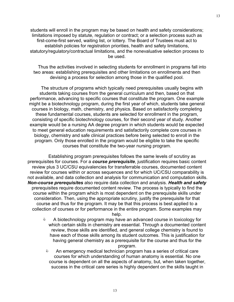students will enroll in the program may be based on health and safety considerations; limitations imposed by statute, regulation or contract; or a selection process such as first-come-first served, waiting list, or lottery. The Board of Trustees must act to establish policies for registration priorities, health and safety limitations, statutory/regulatory/contractual limitations, and the nonevaluative selection process to be used.

 Thus the activities involved in selecting students for enrollment in programs fall into two areas: establishing prerequisites and other limitations on enrollments and then devising a process for selection among those in the qualified pool.

 The structure of programs which typically need prerequisites usually begins with students taking courses from the general curriculum and then, based on that performance, advancing to specific courses that constitute the program. One example might be a biotechnology program, during the first year of which, students take general courses in biology, math, chemistry, and physics. Based on satisfactorily completing these fundamental courses, students are selected for enrollment in the program, consisting of specific biotechnology courses, for their second year of study. Another example would be a nursing AA degree program in which students would be expected to meet general education requirements and satisfactorily complete core courses in biology, chemistry and safe clinical practices before being selected to enroll in the program. Only those enrolled in the program would be eligible to take the specific courses that constitute the two-year nursing program.

 Establishing program prerequisites follows the same levels of scrutiny as prerequisites for courses. For a *course prerequisite*, justification requires basic content review plus 3 UC/CSU equivalencies for transferrable courses, documented content review for courses within or across sequences and for which UC/CSU comparability is not available, and data collection and analysis for communication and computation skills. *Non-course prerequisites* also require data collection and analysis. *Health and safety* prerequisites require documented content review. The process is typically to find the course within the program which is most dependent on the prerequisite skills under consideration. Then, using the appropriate scrutiny, justify the prerequisite for that course and thus for the program. It may be that this process is best applied to a collection of courses or for performance in the entire program. Some examples may

help.

- & A biotechnology program may have an advanced course in toxicology for which certain skills in chemistry are essential. Through a documented content review, those skills are identified, and general college chemistry is found to have each of those skills among its student outcomes. This is justification for having general chemistry as a prerequisite for the course and thus for the program.
	- & An emergency medical technician program has a series of critical care courses for which understanding of human anatomy is essential. No one course is dependent on all the aspects of anatomy, but, when taken together, success in the critical care series is highly dependent on the skills taught in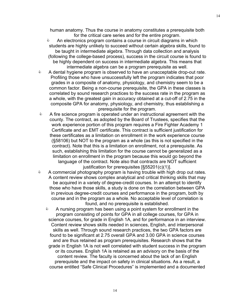human anatomy. Thus the course in anatomy constitutes a prerequisite both for the critical care series and for the entire program.

- **EXECT** An electronics program contains a course in circuit diagrams in which students are highly unlikely to succeed without certain algebra skills, found to be taught in intermediate algebra. Through data collection and analysis (following the college-based process), success in the circuit course is found to be highly dependent on success in intermediate algebra. This means that intermediate algebra can be a program prerequisite as well.
- $\Diamond$  A dental hygiene program is observed to have an unacceptable drop-out rate. Profiling those who have unsuccessfully left the program indicates that poor grades in a composite of anatomy, physiology, and chemistry seem to be a common factor. Being a non-course prerequisite, the GPA in these classes is correlated by sound research practices to the success rate in the program as a whole, with the greatest gain in accuracy obtained at a cut-off of 2.75 in the composite GPA for anatomy, physiology, and chemistry, thus establishing a prerequisite for the program.
- $\bullet$  A fire science program is operated under an instructional agreement with the county. The contract, as adopted by the Board of Trustees, specifies that the work experience portion of this program requires a Fire Fighter Academy 1 Certificate and an EMT certificate. This contract is sufficient justification for these certificates as a limitation on enrollment in the work experience course (§58106) but NOT to the program as a whole (as this is not specified in the contract). Note that this is a limitation on enrollment, not a prerequisite. As such, establishing this limitation for the course cannot be generalized as a limitation on enrollment in the program because this would go beyond the language of the contract. Note also that contracts are NOT sufficient justification for prerequisites [§55201(c)(1)].
- $\bullet$  A commercial photography program is having trouble with high drop out rates. A content review shows complex analytical and critical thinking skills that may be acquired in a variety of degree-credit courses. In an attempt to identify those who have those skills, a study is done on the correlation between GPA in previous degree-credit courses and performance in the program, both by course and in the program as a whole. No acceptable level of correlation is found, and no prerequisite is established.
	- **A** A nursing program has been using a point system for enrollment in the program consisting of points for GPA in all college courses, for GPA in science courses, for grade in English 1A, and for performance in an interview. Content review shows skills needed in sciences, English, and interpersonal skills as well. Through sound research practices, the two GPA factors are found to be significant at 2.75 overall GPA and 3.00 GPA in science courses and are thus retained as program prerequisites. Research shows that the grade in English 1A is not well correlated with student success in the program or its courses. English 1A is retained as an advisory on the basis of the content review. The faculty is concerned about the lack of an English prerequisite and the impact on safety in clinical situations. As a result, a course entitled "Safe Clinical Procedures" is implemented and a documented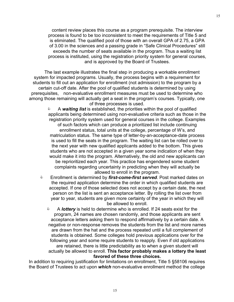content review places this course as a program prerequisite. The interview process is found to be too inconsistent to meet the requirements of Title 5 and is eliminated. The qualified pool of those with an overall GPA of 2.75, a GPA of 3.00 in the sciences and a passing grade in "Safe Clinical Procedures" still exceeds the number of seats available in the program. Thus a waiting list process is instituted, using the registration priority system for general courses, and is approved by the Board of Trustees.

 The last example illustrates the final step in producing a workable enrollment system for impacted programs. Usually, the process begins with a requirement for students to fill out an application for enrollment (not admission) to the program by a certain cut-off date. After the pool of qualified students is determined by using prerequisites, non-evaluative enrollment measures must be used to determine who among those remaining will actually get a seat in the program's courses. Typically, one of three processes is used.

> & A *waiting list* is established, the priorities within the pool of qualified applicants being determined using non-evaluative criteria such as those in the registration priority system used for general courses in the college. Examples of such factors which can produce a prioritized list include continuing enrollment status, total units at the college, percentage of W's, and matriculation status. The same type of letter-by-an-acceptance-date process is used to fill the seats in the program. The waiting list can be rolled over to the next year with new qualified applicants added to the bottom. This gives students who are not accepted in a given year some indication of when they would make it into the program. Alternatively, the old and new applicants can be reprioritized each year. This practice has engendered some student complaints regarding uncertainty in predicting when they will actually be allowed to enroll in the program.

- & Enrollment is determined by *first-come-first served*. Post marked dates on the required application determine the order in which qualified students are accepted. If one of those selected does not accept by a certain date, the next person on the list is sent an acceptance letter. By rolling the list over from year to year, students are given more certainty of the year in which they will be allowed to enroll.
	- & A *lottery* is held to determine who is enrolled. If 24 seats exist for the program, 24 names are chosen randomly, and those applicants are sent acceptance letters asking them to respond affirmatively by a certain date. A negative or non-response removes the students from the list and more names are drawn from the hat and the process repeated until a full complement of students is obtained. Some colleges hold previous applications over for the following year and some require students to reapply. Even if old applications are retained, there is little predictability as to when a given student will actually be allowed to enroll. **This factor probably makes a lottery the least favored of these three choices.**

In addition to requiring justification for limitations on enrollment, Title 5 §58106 requires the Board of Trustees to act upon *which* non-evaluative enrollment method the college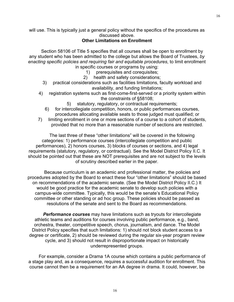will use. This is typically just a general policy without the specifics of the procedures as discussed above.

# **Other Limitations on Enrollment**

 Section 58106 of Title 5 specifies that all courses shall be open to enrollment by any student who has been admitted to the college but allows the Board of Trustees, *by enacting specific policies and requiring fair and equitable procedures*, to limit enrollment in specific courses or programs by using:

- 1) prerequisites and corequisites;
- 2) health and safety considerations;
- 3) practical considerations such as facilities limitations, faculty workload and availability, and funding limitations;
- 4) registration systems such as first-come-first-served or a priority system within the constraints of §58108;
	- 5) statutory, regulatory, or contractual requirements;
	- 6) for intercollegiate competition, honors, or public performances courses, procedures allocating available seats to those judged must qualified; or
- 7) limiting enrollment in one or more sections of a course to a cohort of students, provided that no more than a reasonable number of sections are restricted.

 The last three of these "other limitations" will be covered in the following categories: 1) performance courses (intercollegiate competition and public performances), 2) honors courses, 3) blocks of courses or sections, and 4) legal requirements (statutory, regulatory, or contractual). See the Model District Policy II.C. It should be pointed out that these are NOT prerequisites and are not subject to the levels of scrutiny described earlier in the paper.

 Because curriculum is an academic and professional matter, the policies and procedures adopted by the Board to enact these four "other limitations" should be based on recommendations of the academic senate. (See the Model District Policy II.C.) It would be good practice for the academic senate to develop such policies with a campus-wide committee. Typically, this would be the senate's Educational Policy committee or other standing or ad hoc group. These policies should be passed as resolutions of the senate and sent to the Board as recommendations.

*Performance courses* may have limitations such as tryouts for intercollegiate athletic teams and auditions for courses involving public performance, e.g., band, orchestra, theater, competitive speech, chorus, journalism, and dance. The Model District Policy specifies that such limitations: 1) should not block student access to a degree or certificate, 2) should be reviewed during the regular six-year program review cycle, and 3) should not result in disproportionate impact on historically underrepresented groups.

 For example, consider a Drama 1A course which contains a public performance of a stage play and, as a consequence, requires a successful audition for enrollment. This course cannot then be a requirement for an AA degree in drama. It could, however, be

16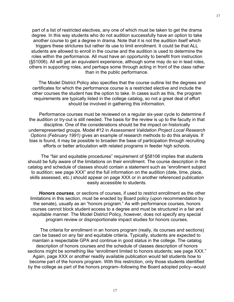part of a list of restricted electives, any one of which must be taken to get the drama degree. In this way students who do not audition successfully have an option to take another course to get a degree in drama. Note that it is not the audition itself which triggers these strictures but rather its use to limit enrollment. It could be that ALL students are allowed to enroll in the course and the audition is used to determine the roles within the performance. All must have an opportunity to benefit from instruction (§51006). All will get an equivalent experience, although some may do so in lead roles, others in supporting roles, and perhaps some through acting in front of the class rather than in the public performance.

 The Model District Policy also specifies that the course outline list the degrees and certificates for which the performance course is a restricted elective and include the other courses the student has the option to take. In cases such as this, the program requirements are typically listed in the college catalog, so not a great deal of effort should be involved in gathering this information.

 Performance courses must be reviewed on a regular six-year cycle to determine if the audition or try-out is still needed. The basis for the review is up to the faculty in that discipline. One of the considerations should be the impact on historically underrepresented groups. Model #12 in *Assessment Validation Project Local Research Options (February 1991)* gives an example of research methods to do this analysis. If bias is found, it may be possible to broaden the base of participation through recruiting efforts or better articulation with related programs in feeder high schools.

 The "fair and equitable procedures" requirement of §58106 implies that students should be fully aware of the limitations on their enrollment. The course description in the catalog and schedule of classes should contain a statement such as "enrollment subject to audition; see page XXX" and the full information on the audition (date, time, place, skills assessed, etc.) should appear on page XXX or in another referenced publication easily accessible to students.

*Honors courses*, or sections of courses, if used to restrict enrollment as the other limitations in this section, must be enacted by Board policy (upon recommendation by the senate), usually as an "honors program." As with performance courses, honors courses cannot block student access to a degree and must be structured in a fair and equitable manner. The Model District Policy, however, does not specify any special program review or disproportionate impact studies for honors courses.

 The criteria for enrollment in an honors program (really, its courses and sections) can be based on any fair and equitable criteria. Typically, students are expected to maintain a respectable GPA and continue in good status in the college. The catalog description of honors courses and the schedule of classes description of honors sections might be something like "enrollment limited to honors students; see page XXX." Again, page XXX or another readily available publication would tell students how to become part of the honors program. With this restriction, only those students identified by the college as part of the honors program--following the Board adopted policy--would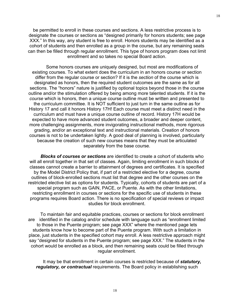be permitted to enroll in these courses and sections. A less restrictive process is to designate the courses or sections as "designed primarily for honors students; see page XXX." In this way, any student is free to enroll. Honors students may be identified as a cohort of students and then enrolled as a group in the course, but any remaining seats can then be filled through regular enrollment. This type of honors program does not limit enrollment and so takes no special Board action.

 Some honors courses are uniquely designed, but most are modifications of existing courses. To what extent does the curriculum in an honors course or section differ from the regular course or section? If it is the *section* of the course which is designated as honors, then the required student outcomes are the same as for all sections. The "honors" nature is justified by optional topics beyond those in the course outline and/or the stimulation offered by being among more talented students. If it is the *course* which is honors, then a unique course outline must be written and presented to the curriculum committee. It is NOT sufficient to just turn in the same outline as for History 17 and call it honors History 17H! Each course must meet a distinct need in the curriculum and must have a unique course outline of record. History 17H would be expected to have more advanced student outcomes, a broader and deeper content, more challenging assignments, more invigorating instructional methods, more rigorous grading, and/or an exceptional text and instructional materials. Creation of honors courses is not to be undertaken lightly. A good deal of planning is involved, particularly because the creation of such new courses means that they must be articulated separately from the base course.

*Blocks of courses or sections* are identified to create a cohort of students who will all enroll together in that set of classes. Again, limiting enrollment in such blocks of classes cannot create a barrier to attainment of degrees and certificates. It is specified by the Model District Policy that, if part of a restricted elective for a degree, course outlines of block-enrolled sections must list that degree and the other courses on the restricted elective list as options for students. Typically, cohorts of students are part of a special program such as GAIN, PACE, or Puente. As with the other limitations, restricting enrollment in courses or sections for the specific use of students in these programs requires Board action. There is no specification of special reviews or impact studies for block enrollment.

 To maintain fair and equitable practices, courses or sections for block enrollment are identified in the catalog and/or schedule with language such as "enrollment limited to those in the Puente program; see page XXX" where the mentioned page lets students know how to become part of the Puente program. With such a limitation in place, just students in the specified cohort may enroll. A less restrictive approach might say "designed for students in the Puente program; see page XXX." The students in the cohort would be enrolled as a block, and then remaining seats could be filled through regular enrollment.

 It may be that enrollment in certain courses is restricted because of *statutory, regulatory, or contractual* requirements. The Board policy in establishing such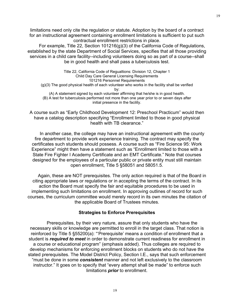limitations need only cite the regulation or statute. Adoption by the board of a contract for an instructional agreement containing enrollment limitations is sufficient to put such contractual enrollment restrictions in place.

 For example, Title 22, Section 101216(g)(3) of the California Code of Regulations, established by the state Department of Social Services, specifies that all those providing services in a child care facility--including volunteers doing so as part of a course--shall be in good health and shall pass a tuberculosis test.

Title 22, California Code of Regualtions: Division 12, Chapter 1 Child Day Care General Licensing Requirements 101216 Personnel Requirements (g)(3) The good physical health of each volunteer who works in the facility shall be verified by: (A) A statement signed by each volunteer affirming that he/she is in good health. (B) A test for tuberculosis performed not more than one year prior to or seven days after initial presence in the facility.

A course such as "Early Childhood Development 12: Preschool Practicum" would then have a catalog description specifying "Enrollment limited to those in good physical health with TB clearance."

 In another case, the college may have an instructional agreement with the county fire department to provide work experience training. The contract may specify the certificates such students should possess. A course such as "Fire Science 95: Work Experience" might then have a statement such as "Enrollment limited to those with a State Fire Fighter I Academy Certificate and an EMT Certificate." Note that courses designed for the employees of a particular public or private entity must still maintain open enrollment, Title 5 §58051 and 58051.5.

 Again, these are NOT prerequisites. The only action required is that of the Board in citing appropriate laws or regulations or in accepting the terms of the contract. In its action the Board must specify the fair and equitable procedures to be used in implementing such limitations on enrollment. In approving outlines of record for such courses, the curriculum committee would merely record in its own minutes the citation of the applicable Board of Trustees minutes.

#### **Strategies to Enforce Prerequisites**

 Prerequisites, by their very nature, assure that only students who have the necessary skills or knowledge are permitted to enroll in the target class. That notion is reinforced by Title 5 §55200(a): "Prerequisite' means a condition of enrollment that a student is *required to meet* in order to demonstrate current readiness for enrollment in a course or educational program" (emphasis added). Thus colleges are required to develop mechanisms for enforcing enrollment blocks on students who do not have the stated prerequisites. The Model District Policy, Section I.E., says that such enforcement "must be done in some *consistent* manner and not left exclusively to the classroom instructor." It goes on to specify that "every attempt shall be made" to enforce such limitations *prior* to enrollment.

19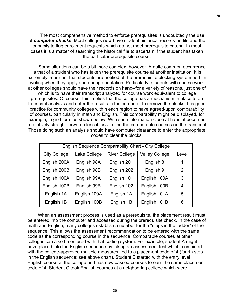The most comprehensive method to enforce prerequisites is undoubtedly the use of *computer checks*. Most colleges now have student historical records on file and the capacity to flag enrollment requests which do not meet prerequisite criteria. In most cases it is a matter of searching the historical file to ascertain if the student has taken the particular prerequisite course.

 Some situations can be a bit more complex, however. A quite common occurrence is that of a student who has taken the prerequisite course at another institution. It is extremely important that students are notified of the prerequisite blocking system both in writing when they apply and during orientation. Particularly, students with course work at other colleges should have their records on hand--for a variety of reasons, just one of which is to have their transcript analyzed for course work equivalent to college prerequisites. Of course, this implies that the college has a mechanism in place to do transcript analysis and enter the results in the computer to remove the blocks. It is good practice for community colleges within each region to have agreed-upon comparability of courses, particularly in math and English. This comparability might be displayed, for example, in grid form as shown below. With such information close at hand, it becomes a relatively straight-forward clerical task to find the comparable courses on the transcript. Those doing such an analysis should have computer clearance to enter the appropriate codes to clear the blocks.

| <b>English Sequence Comparability Chart - City College</b> |              |                      |                       |                |
|------------------------------------------------------------|--------------|----------------------|-----------------------|----------------|
| <b>City College</b>                                        | Lake College | <b>River College</b> | <b>Valley College</b> | Level          |
| English 200A                                               | English 98A  | English 201          | English 8             | 1              |
| English 200B                                               | English 98B  | English 202          | English 9             | $\overline{2}$ |
| English 100A                                               | English 99A  | English 101          | English 100A          | 3              |
| English 100B                                               | English 99B  | English 102          | English 100B          | 4              |
| English 1A                                                 | English 100A | English 1A           | English 101A          | 5              |
| English 1B                                                 | English 100B | English 1B           | English 101B          | 6              |

 When an assessment process is used as a prerequisite, the placement result must be entered into the computer and accessed during the prerequisite check. In the case of math and English, many colleges establish a number for the "steps in the ladder" of the sequence. This allows the assessment recommendation to be entered with the same code as the corresponding course in the sequence. Comparable courses at other colleges can also be entered with that coding system. For example, student A might have placed into the English sequence by taking an assessment test which, combined with the college-approved multiple measures, led to a placement code of 4 (fourth step in the English sequence; see above chart). Student B started with the entry level English course at the college and has now passed courses to earn the same placement code of 4. Student C took English courses at a neighboring college which were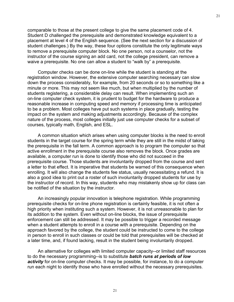comparable to those at the present college to give the same placement code of 4. Student D challenged the prerequisite and demonstrated knowledge equivalent to a placement at level 4 of the English sequence. (See the next section for a discussion of student challenges.) By the way, these four options constitute the only legitimate ways to remove a prerequisite computer block. No one person, not a counselor, not the instructor of the course signing an add card, not the college president, can remove a waive a prerequisite. No one can allow a student to "walk by" a prerequisite.

 Computer checks can be done on-line while the student is standing at the registration window. However, the extensive computer searching necessary can slow down the process considerably, for example, from 20 seconds or so to something like a minute or more. This may not seem like much, but when multiplied by the number of students registering, a considerable delay can result. When implementing such an on-line computer check system, it is prudent to budget for the hardware to produce a reasonable increase in computing speed and memory if processing time is anticipated to be a problem. Most colleges have put such systems in place gradually, testing the impact on the system and making adjustments accordingly. Because of the complex nature of the process, most colleges initially just use computer checks for a subset of courses, typically math, English, and ESL.

 A common situation which arises when using computer blocks is the need to enroll students in the target course for the spring term while they are still in the midst of taking the prerequisite in the fall term. A common approach is to program the computer so that active enrollment in the prerequisite course also removes the block. Once grades are available, a computer run is done to identify those who did not succeed in the prerequisite course. Those students are involuntarily dropped from the course and sent a letter to that effect. It is imperative that students be warned of this consequence when enrolling. It will also change the students fee status, usually necessitating a refund. It is also a good idea to print out a roster of such involuntarily dropped students for use by the instructor of record. In this way, students who may mistakenly show up for class can be notified of the situation by the instructor.

 An increasingly popular innovation is telephone registration. While programming prerequisite checks for on-line phone registration is certainly feasible, it is not often a high priority when instituting such a system. However, it is not unreasonable to plan for its addition to the system. Even without on-line blocks, the issue of prerequisite enforcement can still be addressed. It may be possible to trigger a recorded message when a student attempts to enroll in a course with a prerequisite. Depending on the approach favored by the college, the student could be instructed to come to the college in person to enroll in such classes or could be told that prerequisites will be checked at a later time, and, if found lacking, result in the student being involuntarily dropped.

 An alternative for colleges with limited computer capacity--or limited staff resources to do the necessary programming--is to substitute *batch runs at periods of low activity* for on-line computer checks. It may be possible, for instance, to do a computer run each night to identify those who have enrolled without the necessary prerequisites.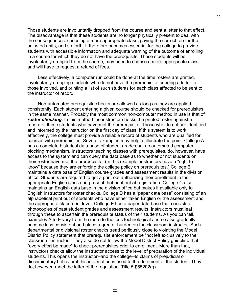Those students are involuntarily dropped from the course and sent a letter to that effect. The disadvantage is that these students are no longer physically present to deal with the consequences: choosing a more appropriate class, paying the correct fee for the adjusted units, and so forth. It therefore becomes essential for the college to provide students with accessible information and adequate warning of the outcome of enrolling in a course for which they do not have the prerequisite. Those students will be involuntarily dropped from the course, may need to choose a more appropriate class, and will have to request a refund of fees.

 Less effectively, a computer run could be done at the time rosters are printed, involuntarily dropping students who do not have the prerequisite, sending a letter to those involved, and printing a list of such students for each class affected to be sent to the instructor of record.

 Non-automated prerequisite checks are allowed as long as they are applied consistently. Each student entering a given course should be checked for prerequisites in the same manner. Probably the most common non-computer method in use is that of **roster checking**. In this method the instructor checks the printed roster against a record of those students who have met the prerequisite. Those who do not are identified and informed by the instructor on the first day of class. If this system is to work effectively, the college must provide a reliable record of students who are qualified for courses with prerequisites. Several examples may help to illustrate the point. College A has a complete historical data base of student grades but no automated computer blocking mechanism. Instructors teaching classes with prerequisites, do, however, have access to the system and can query the data base as to whether or not students on their roster have met the prerequisite. (In this example, instructors have a "right to know" because they are enforcing the college policy on prerequisites.) College B maintains a data base of English course grades and assessment results in the division office. Students are required to get a print out authorizing their enrollment in the appropriate English class and present that print out at registration. College C also maintains an English data base in the division office but makes it available only to English instructors for roster checks. College D has a "paper data base" consisting of an alphabetical print out of students who have either taken English or the assessment and the appropriate placement level. College E has a paper data base that consists of photocopies of past student grades and assessment results. Instructors must leaf through these to ascertain the prerequisite status of their students. As you can tell, examples A to E vary from the more to the less technological and so also gradually become less consistent and place a greater burden on the classroom instructor. Such departmental or divisional roster checks tread perilously close to violating the Model District Policy statement that prerequisite enforcement be "not left exclusively to the classroom instructor." They also do not follow the Model District Policy guideline that "every effort be made" to check prerequisites prior to enrollment. More than that, instructors checks allow the instructor access to the level of preparation of the individual students. This opens the instructor--and the college--to claims of prejudicial or discriminatory behavior if this information is used to the detriment of the student. They do, however, meet the letter of the regulation, Title 5 §55202(g).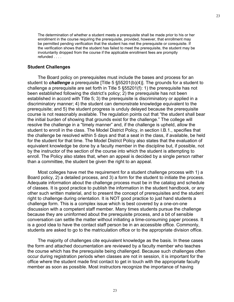The determination of whether a student meets a prerequisite shall be made prior to his or her enrollment in the course requiring the prerequisite, provided, however, that enrollment may be permitted pending verification that the student has met the prerequisite or corequisite. If the verification shows that the student has failed to meet the prerequisite, the student may be involuntarily dropped from the course if the applicable enrollment fees are promptly refunded . . . .

#### **Student Challenges**

 The Board policy on prerequisites must include the bases and process for an student to *challenge* a prerequisite [Title 5 §55201(b)(4)]. The grounds for a student to challenge a prerequisite are set forth in Title 5 §55201(f): 1) the prerequisite has not been established following the district's policy; 2) the prerequisite has not been established in accord with Title 5; 3) the prerequisite is discriminatory or applied in a discriminatory manner; 4) the student can demonstrate knowledge equivalent to the prerequisite; and 5) the student progress is unduly delayed because the prerequisite course is not reasonably available. The regulation points out that "the student shall bear the initial burden of showing that grounds exist for the challenge." The college will resolve the challenge in a "timely manner" and, if the challenge is upheld, allow the student to enroll in the class. The Model District Policy, in section I.B.1., specifies that the challenge be resolved within 5 days and that a seat in the class, if available, be held for the student for that time. The Model District Policy also states that the evaluation of equivalent knowledge be done by a faculty member in the discipline but, if possible, not by the instructor of the section of the course into which the student is attempting to enroll. The Policy also states that, when an appeal is decided by a single person rather than a committee, the student be given the right to an appeal.

 Most colleges have met the requirement for a student challenge process with 1) a Board policy, 2) a detailed process, and 3) a form for the student to initiate the process. Adequate information about the challenge process must be in the catalog and schedule of classes. It is good practice to publish the information in the student handbook, or any other such written material, and to present the concept of prerequisites and the student right to challenge during orientation. It is NOT good practice to just hand students a challenge form. This is a complex issue which is best covered by a one-on-one discussion with a competent staff member. Many times students pursue the challenge because they are uninformed about the prerequisite process, and a bit of sensible conversation can settle the matter without initiating a time-consuming paper process. It is a good idea to have the contact staff person be in an accessible office. Commonly, students are asked to go to the matriculation office or to the appropriate division office.

 The majority of challenges cite equivalent knowledge as the basis. In these cases the form and attached documentation are reviewed by a faculty member who teaches the course which has the prerequisite being challenged. Because such challenges often occur during registration periods when classes are not in session, it is important for the office where the student made first contact to get in touch with the appropriate faculty member as soon as possible. Most instructors recognize the importance of having

23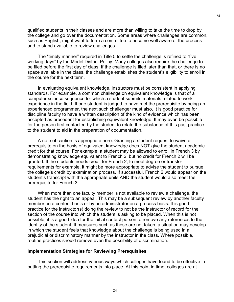qualified students in their classes and are more than willing to take the time to drop by the college and go over the documentation. Some areas where challenges are common, such as English, might want to form a committee to become well aware of the process and to stand available to review challenges.

 The "timely manner" required in Title 5 to settle the challenge is refined to "five working days" by the Model District Policy. Many colleges also require the challenge to be filed before the first day of class. If the challenge is filed later than that, or there is no space available in the class, the challenge establishes the student's eligibility to enroll in the course for the next term.

 In evaluating equivalent knowledge, instructors must be consistent in applying standards. For example, a common challenge on equivalent knowledge is that of a computer science sequence for which a student submits materials related to work experience in the field. If one student is judged to have met the prerequisite by being an experienced programmer, the next such challenger must also. It is good practice for discipline faculty to have a written description of the kind of evidence which has been accepted as precedent for establishing equivalent knowledge. It may even be possible for the person first contacted by the student to relate the substance of this past practice to the student to aid in the preparation of documentation.

 A note of caution is appropriate here. Granting a student request to waive a prerequisite on the basis of equivalent knowledge does NOT give the student academic credit for that course. For example, a student may be allowed to enroll in French 3 by demonstrating knowledge equivalent to French 2, but no credit for French 2 will be granted. If the students needs credit for French 2, to meet degree or transfer requirements for example, it might be more appropriate to advise the student to pursue the college's credit by examination process. If successful, French 2 would appear on the student's transcript with the appropriate units AND the student would also meet the prerequisite for French 3.

 When more than one faculty member is not available to review a challenge, the student has the right to an appeal. This may be a subsequent review by another faculty member on a content basis or by an administrator on a process basis. It is good practice for the instructor(s) doing the review to not be the instructor of record for the section of the course into which the student is asking to be placed. When this is not possible, it is a good idea for the initial contact person to remove any references to the identity of the student. If measures such as these are not taken, a situation may develop in which the student feels that knowledge about the challenge is being used in a prejudicial or discriminatory manner by the instructor in the class. Where possible, routine practices should remove even the possibility of discrimination.

#### **Implementation Strategies for Reviewing Prerequisites**

 This section will address various ways which colleges have found to be effective in putting the prerequisite requirements into place. At this point in time, colleges are at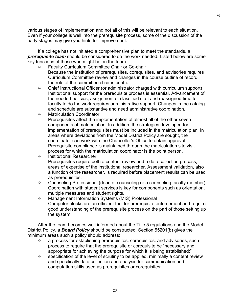various stages of implementation and not all of this will be relevant to each situation. Even if your college is well into the prerequisite process, some of the discussion of the early stages may give you hints for improvement.

 If a college has not initiated a comprehensive plan to meet the standards, a *prerequisite team* should be considered to do the work needed. Listed below are some key functions of those who might be on the team.

- Faculty Curriculum Committee Chair or Co-chair Because the institution of prerequisites, corequisites, and advisories requires Curriculum Committee review and changes in the course outline of record, the role of the committee chair is central.
- & Chief Instructional Officer (or administrator charged with curriculum support) Institutional support for the prerequisite process is essential. Advancement of the needed policies, assignment of classified staff and reassigned time for faculty to do the work requires administrative support. Changes in the catalog and schedule are substantive and need administrative coordination.
- & Matriculation Coordinator Prerequisites affect the implementation of almost all of the other seven components of matriculation. In addition, the strategies developed for implementation of prerequisites must be included in the matriculation plan. In areas where deviations from the Model District Policy are sought, the coordinator can work with the Chancellor's Office to obtain approval. Prerequisite compliance is maintained through the matriculation site visit process for which the matriculation coordinator is the point person.
- & Institutional Researcher Prerequisites require both a content review and a data collection process, areas of expertise of the institutional researcher. Assessment validation, also a function of the researcher, is required before placement results can be used as prerequisites.
- & Counseling Professional (dean of counseling or a counseling faculty member) Coordination with student services is key for components such as orientation, multiple measures and student rights.
- & Management Information Systems (MIS) Professional Computer blocks are an efficient tool for prerequisite enforcement and require good understanding of the prerequisite process on the part of those setting up the system.

 After the team becomes well informed about the Title 5 regulations and the Model District Policy, a *Board Policy* should be constructed. Section 55201(b) gives the minimum areas such a policy should address:

- $\Diamond$  a process for establishing prerequisites, corequisites, and advisories, such process to require that the prerequisite or corequisite be "necessary and appropriate for achieving the purpose for which it is being established;"
- $\Diamond$  specification of the level of scrutiny to be applied, minimally a content review and specifically data collection and analysis for communication and computation skills used as prerequisites or corequisites;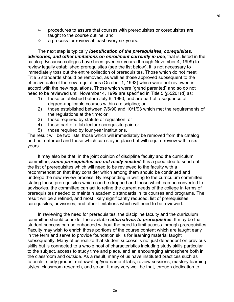- $\Diamond$  procedures to assure that courses with prerequisites or corequisites are taught to the course outline; and
- $\Diamond$  a process for review at least every six years.

 The next step is typically *identification of the prerequisites, corequisites, advisories, and other limitations on enrollment currently in use*, that is, listed in the catalog. Because colleges have been given six years (through November 4, 1999) to review legally established prerequisites (see the list below), it is not necessary to immediately toss out the entire collection of prerequisites. Those which do not meet Title 5 standards should be removed, as well as those approved subsequent to the effective date of the new regulations (October 1, 1993) which were not reviewed in accord with the new regulations. Those which were "grand parented" and so do not need to be reviewed until November 4, 1999 are specified in Title 5 §55201(d) as:

- 1) those established before July 6, 1990, and are part of a sequence of degree-applicable courses within a discipline; or
- 2) those established between 7/6/90 and 10/1/93 which met the requirements of the regulations at the time; or
- 3) those required by statute or regulation; or
- 4) those part of a lab-lecture corequisite pair; or
- 5) those required by four year institutions.

The result will be two lists: those which will immediately be removed from the catalog and not enforced and those which can stay in place but will require review within six years.

 It may also be that, in the joint opinion of discipline faculty and the curriculum committee, *some prerequisites are not really needed*. It is a good idea to send out the list of prerequisites which will need to be reviewed to the faculty with a recommendation that they consider which among them should be continued and undergo the new review process. By responding in writing to the curriculum committee stating those prerequisites which can be dropped and those which can be converted to advisories, the committee can act to refine the current needs of the college in terms of prerequisites needed to maintain academic standards in its courses and programs. The result will be a refined, and most likely significantly reduced, list of prerequisites, corequisites, advisories, and other limitations which will need to be reviewed.

 In reviewing the need for prerequisites, the discipline faculty and the curriculum committee should consider the available *alternatives to prerequisites*. It may be that student success can be enhanced without the need to limit access through prerequisites. Faculty may wish to enrich those portions of the course content which are taught early in the term and serve to provide foundation skills for learning material taught subsequently. Many of us realize that student success is not just dependent on previous skills but is connected to a whole host of characteristics including study skills particular to the subject, access to study time and place, and an encouraging atmosphere both in the classroom and outside. As a result, many of us have instituted practices such as tutorials, study groups, math/writing/you-name-it labs, review sessions, mastery learning styles, classroom research, and so on. It may very well be that, through dedication to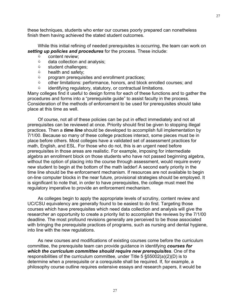these techniques, students who enter our courses poorly prepared can nonetheless finish them having achieved the stated student outcomes.

 While this initial refining of needed prerequisites is occurring, the team can work on *setting up policies and procedures* for the process. These include:

- $\Diamond$  content review:
- $\Diamond$  data collection and analysis;
- $\Diamond$  student challenges;
- $\Diamond$  health and safety;
- $\Diamond$  program prerequisites and enrollment practices;
- & other limitations: performance, honors, and block enrolled courses; and
- $\Diamond$  identifying regulatory, statutory, or contractual limitations.

Many colleges find it useful to design forms for each of these functions and to gather the procedures and forms into a "prerequisite guide" to assist faculty in the process. Consideration of the methods of enforcement to be used for prerequisites should take place at this time as well.

 Of course, not all of these policies can be put in effect immediately and not all prerequisites can be reviewed at once. Priority should first be given to stopping illegal practices. Then a *time line* should be developed to accomplish full implementation by 7/1/00. Because so many of these college practices interact, some pieces must be in place before others. Most colleges have a validated set of assessment practices for math, English, and ESL. For those who do not, this is an urgent need before prerequisites in those areas are realistic. For example, imposing for intermediate algebra an enrollment block on those students who have not passed beginning algebra, without the option of placing into the course through assessment, would require every new student to begin at the bottom of the math ladder! A second early priority in the time line should be the enforcement mechanism. If resources are not available to begin on-line computer blocks in the near future, provisional strategies should be employed. It is significant to note that, in order to have prerequisites, the college must meet the regulatory imperative to provide an enforcement mechanism.

 As colleges begin to apply the appropriate levels of scrutiny, content review and UC/CSU equivalency are generally found to be easiest to do first. Targeting those courses which have prerequisites which need data collection and analysis will give the researcher an opportunity to create a priority list to accomplish the reviews by the 7/1/00 deadline. The most profound revisions generally are perceived to be those associated with bringing the prerequisite practices of programs, such as nursing and dental hygiene, into line with the new regulations.

 As new courses and modifications of existing courses come before the curriculum committee, the prerequisite team can provide guidance in identifying *courses for which the curriculum committee should require new prerequisites*. One of the responsibilities of the curriculum committee, under Title 5 §55002(a)(2)(D) is to determine when a prerequisite or a corequisite shall be required. If, for example, a philosophy course outline requires extensive essays and research papers, it would be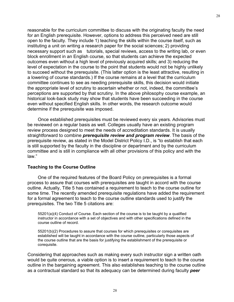reasonable for the curriculum committee to discuss with the originating faculty the need for an English prerequisite. However, options to address this perceived need are still open to the faculty. They include 1) teaching the skills within the course itself, such as instituting a unit on writing a research paper for the social sciences; 2) providing necessary support such as tutorials, special reviews, access to the writing lab, or even block enrollment in an English course, so that students can achieve the expected outcomes even without a high level of previously acquired skills; and 3) reducing the level of expectation in the course to the point that students would not be highly unlikely to succeed without the prerequisite. (This latter option is the least attractive, resulting in a lowering of course standards.) If the course remains at a level that the curriculum committee continues to see as needing prerequisite skills, this decision would initiate the appropriate level of scrutiny to ascertain whether or not, indeed, the committee's perceptions are supported by that scrutiny. In the above philosophy course example, an historical look-back study may show that students have been succeeding in the course even without specified English skills. In other words, the research outcome would determine if the prerequisite was imposed.

 Once established prerequisites must be reviewed every six years. Advisories must be reviewed on a regular basis as well. Colleges usually have an existing program review process designed to meet the needs of accreditation standards. It is usually straightforward to combine *prerequisite review and program review*. The basis of the prerequisite review, as stated in the Model District Policy I.D., is "to establish that each is still supported by the faculty in the discipline or department and by the curriculum committee and is still in compliance with all other provisions of this policy and with the law."

#### **Teaching to the Course Outline**

 One of the required features of the Board Policy on prerequisites is a formal process to assure that courses with prerequisites are taught in accord with the course outline. Actually, Title 5 has contained a requirement to teach to the course outline for some time. The recently amended prerequisite regulations have added the requirement for a formal agreement to teach to the course outline standards used to justify the prerequisites. The two Title 5 citations are:

55201(a)(4) Conduct of Course. Each section of the course is to be taught by a qualified instructor in accordance with a set of objectives and with other specifications defined in the course outline of record.

55201(b)(2) Procedures to assure that courses for which prerequisites or corequisites are established will be taught in accordance with the course outline, particularly those aspects of the course outline that are the basis for justifying the establishment of the prerequisite or corequisite.

Considering that approaches such as making every such instructor sign a written oath would be quite onerous, a viable option is to insert a requirement to teach to the course outline in the bargaining agreement. This also establishes teaching to the course outline as a contractual standard so that its adequacy can be determined during faculty *peer*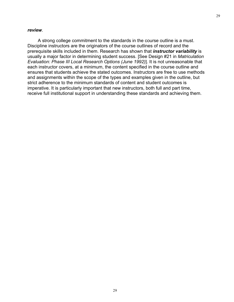#### *review*.

 A strong college commitment to the standards in the course outline is a must. Discipline instructors are the originators of the course outlines of record and the prerequisite skills included in them. Research has shown that *instructor variability* is usually a major factor in determining student success. [See Design #21 in *Matriculation Evaluation: Phase III Local Research Options (June 1992)*]. It is not unreasonable that each instructor covers, at a minimum, the content specified in the course outline and ensures that students achieve the stated outcomes. Instructors are free to use methods and assignments within the scope of the types and examples given in the outline, but strict adherence to the minimum standards of content and student outcomes is imperative. It is particularly important that new instructors, both full and part time, receive full institutional support in understanding these standards and achieving them.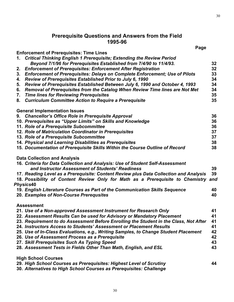# **Prerequisite Questions and Answers from the Field 1995-96**

|    | Page                                                                                  |     |
|----|---------------------------------------------------------------------------------------|-----|
|    | <b>Enforcement of Prerequisites: Time Lines</b>                                       |     |
| 1. | <b>Critical Thinking English 1 Prerequisite; Extending the Review Period</b>          |     |
|    | Beyond 7/1/96 for Prerequisites Established from 7/4/90 to 11/4/93.                   | 32  |
| 2. | <b>Enforcement of Prerequisites: Enforcement After Registration</b>                   | 32  |
| 3. | <b>Enforcement of Prerequisites: Delays on Complete Enforcement; Use of Pilots</b>    | 33  |
| 4. | Review of Prerequisites Established Prior to July 6, 1990                             | 34  |
| 5. | Review of Prerequisites Established Between July 6, 1990 and October 4, 1993          | 34  |
| 6. | Removal of Prerequisites from the Catalog When Review Time lines are Not Met          | 34  |
| 7. | <b>Time lines for Reviewing Prerequisites</b>                                         | 35  |
| 8. | <b>Curriculum Committee Action to Require a Prerequisite</b>                          | 35  |
|    | <b>General Implementation Issues</b>                                                  |     |
|    | 9. Chancellor's Office Role in Prerequisite Approval                                  | 36  |
|    | 10. Prerequisites as "Upper Limits" on Skills and Knowledge                           | 36  |
|    | 11. Role of a Prerequisite Subcommittee                                               | 36  |
|    | 12. Role of Matriculation Coordinator in Prerequisites                                | 37  |
|    | 13. Role of a Prerequisite Subcommittee                                               | 37  |
|    | 14. Physical and Learning Disabilities as Prerequisites                               | 38  |
|    | 15. Documentation of Prerequisite Skills Within the Course Outline of Record          | 38  |
|    | <b>Data Collection and Analysis</b>                                                   |     |
|    | 16. Criteria for Data Collection and Analysis: Use of Student Self-Assessment         |     |
|    | and Instructor Assessment of Students' Readiness                                      | 39  |
|    | 17. Reading Level as a Prerequisite: Content Review plus Data Collection and Analysis | 39  |
|    | 18. Possibility of Content Review Only for Math as a Prerequisite to Chemistry        | and |
|    | Physics40                                                                             |     |
|    | 19. English Literature Courses as Part of the Communication Skills Sequence           | 40  |
|    | 20. Examples of Non-Course Prerequsites                                               | 40  |
|    | <b>Assessment</b>                                                                     |     |
|    | 21. Use of a Non-approved Assessment Instrument for Research Only                     | 41  |
|    | 22. Assessment Results Can be used for Advisory or Mandatory Placement                | 41  |
|    | 23. Requirement to do Assessment Before Enrolling the Student in the Class, Not After | 41  |
|    | 24. Instructors Access to Students' Assessment or Placement Results                   | 41  |
|    | 25. Use of In-Class Evaluations, e.g., Writing Samples, to Change Student Placement   | 42  |
|    | 26. Use of Assessment Process as a Prerequisite                                       | 42  |
|    | 27. Skill Prerequisites Such As Typing Speed                                          | 43  |
|    | 28. Assessment Tests in Fields Other Than Math, English, and ESL                      | 43  |
|    | <b>High School Courses</b>                                                            |     |
|    | 29. High School Courses as Prerequisites: Highest Level of Scrutiny                   | 44  |
|    | 30. Alternatives to High School Courses as Prerequisites: Challenge                   |     |
|    |                                                                                       |     |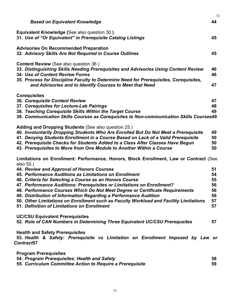|                                                                                                                                                                                                                                                                  | 31       |
|------------------------------------------------------------------------------------------------------------------------------------------------------------------------------------------------------------------------------------------------------------------|----------|
| <b>Based on Equivalent Knowledge</b>                                                                                                                                                                                                                             | 44       |
| Equivalent Knowledge (See also question 30.)<br>31. Use of "Or Equivalent" in Prerequisite Catalog Listings                                                                                                                                                      | 45       |
| <b>Advisories On Recommended Preparation</b><br>32. Advisory Skills Are Not Required in Course Outlines                                                                                                                                                          | 45       |
| <b>Content Review (See also question 36.)</b><br>33. Distinguishing Skills Needing Prerequisites and Advisories Using Content Review<br>34. Use of Content Review Forms<br>35. Process for Discipline Faculty to Determine Need for Prerequisites, Corequisites, | 46<br>46 |
| and Advisories and to Identify Courses to Meet that Need                                                                                                                                                                                                         | 47       |
| <b>Corequisites</b>                                                                                                                                                                                                                                              |          |
| 36. Corequisite Content Review                                                                                                                                                                                                                                   | 47       |
| 37. Corequisites for Lecture-Lab Pairings                                                                                                                                                                                                                        | 48       |
| 38. Teaching Corequisite Skills Within the Target Course                                                                                                                                                                                                         | 49       |
| 39. Communication Skills Courses as Corequisites to Non-communication Skills Courses49                                                                                                                                                                           |          |
|                                                                                                                                                                                                                                                                  |          |
| Adding and Dropping Students (See also question 25.)                                                                                                                                                                                                             |          |
| 40. Involuntarily Dropping Students Who Are Enrolled But Do Not Meet a Prerequisite                                                                                                                                                                              | 49<br>50 |
| 41. Denying Students Enrollment in a Course Based on Lack of a Valid Prerequisite                                                                                                                                                                                | 50       |
| 42. Prerequisite Checks for Students Added to a Class After Classes Have Begun                                                                                                                                                                                   | 50       |
| 43. Prerequisites to Move from One Module to Another Within a Course                                                                                                                                                                                             |          |
| Limitations on Enrollment: Performance, Honors, Block Enrollment, Law or Contract (See<br>also 52.)                                                                                                                                                              |          |
| 44. Review and Approval of Honors Courses                                                                                                                                                                                                                        | 51       |
| 45. Performance Auditions as Limitations on Enrollment                                                                                                                                                                                                           | 54       |
| 46. Criteria for Selecting a Course as an Honors Course                                                                                                                                                                                                          | 55       |
| 47. Performance Auditions: Prerequisites or Limitations on Enrollment?                                                                                                                                                                                           | 56       |
| 48. Performance Courses Which Do Not Meet Degree or Certificate Requirements                                                                                                                                                                                     | 56       |
| 49. Distribution of Information Regarding a Performance Audition                                                                                                                                                                                                 | 56       |
| 50. Other Limitations on Enrollment such as Faculty Workload and Facility Limitations                                                                                                                                                                            | 57       |
| 51. Definition of Limitations on Enrollment                                                                                                                                                                                                                      | 57       |
|                                                                                                                                                                                                                                                                  |          |
| <b>UC/CSU Equivalent Prerequisites</b>                                                                                                                                                                                                                           |          |
| 52. Role of CAN Numbers in Determining Three Equivalent UC/CSU Prerequsites                                                                                                                                                                                      | 57       |
| <b>Health and Safety Prerequisites</b><br>53. Health & Safety: Prerequisite vs Limitation on Enrollment Imposed by Law or<br>Contract <sub>57</sub>                                                                                                              |          |
|                                                                                                                                                                                                                                                                  |          |
| <b>Program Prerequisites</b>                                                                                                                                                                                                                                     |          |
| 54. Program Prerequisites: Health and Safety                                                                                                                                                                                                                     | 58       |
| 55. Curriculum Committee Action to Require a Prerequisite                                                                                                                                                                                                        | 59       |
|                                                                                                                                                                                                                                                                  |          |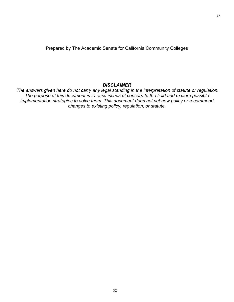Prepared by The Academic Senate for California Community Colleges

# *DISCLAIMER*

*The answers given here do not carry any legal standing in the interpretation of statute or regulation. The purpose of this document is to raise issues of concern to the field and explore possible implementation strategies to solve them. This document does not set new policy or recommend changes to existing policy, regulation, or statute.*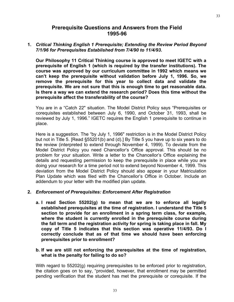# **Prerequisite Questions and Answers from the Field 1995-96**

**1.** *Critical Thinking English 1 Prerequisite; Extending the Review Period Beyond 7/1/96 for Prerequisites Established from 7/4/90 to 11/4/93.*

**Our Philosophy 11 Critical Thinking course is approved to meet IGETC with a prerequisite of English 1 (which is required by the transfer institutions). The course was approved by our curriculum committee in 1992 which means we can't keep the prerequisite without validation before July 1, 1996. So, we remove the prerequisite for this year to collect data and validate the prerequisite. We are not sure that this is enough time to get reasonable data. Is there a way we can extend the research period? Does this time without the prerequisite affect the transferability of the course?**

You are in a "Catch 22" situation. The Model District Policy says "Prerequisites or corequisites established between July 6, 1990, and October 31, 1993, shall be reviewed by July 1, 1996." IGETC requires the English 1 prerequisite to continue in place.

Here is a suggestion. The "by July 1, 1996" restriction is in the Model District Policy but not in Title 5. [Read §55201(b) and (d).] By Title 5 you have up to six years to do the review (interpreted to extend through November 4, 1999). To deviate from the Model District Policy you need Chancellor's Office approval. This should be no problem for your situation. Write a letter to the Chancellor's Office explaining the details and requesting permission to keep the prerequisite in place while you are doing your research for a time period not to extend beyond November 4, 1999. This deviation from the Model District Policy should also appear in your Matriculation Plan Update which was filed with the Chancellor's Office in October. Include an addendum to your letter with the modified plan update.

## **2.** *Enforcement of Prerequisites: Enforcement After Registration*

**a. I read Section 55202(g) to mean that we are to enforce all legally established prerequisites at the time of registration. I understand the Title 5 section to provide for an enrollment in a spring term class, for example, where the student is currently enrolled in the prerequisite course during the fall term and the registration activity for spring is taking place in fall. My copy of Title 5 indicates that this section was operative 11/4/93. Do I correctly conclude that as of that time we should have been enforcing prerequisites prior to enrollment?** 

#### **b. If we are still not enforcing the prerequisites at the time of registration, what is the penalty for failing to do so?**

With regard to 55202(g) requiring prerequisites to be enforced prior to registration, the citation goes on to say, "provided, however, that enrollment may be permitted pending verification that the student has met the prerequisite or corequisite. If the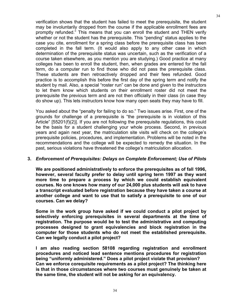verification shows that the student has failed to meet the prerequisite, the student may be involuntarily dropped from the course if the applicable enrollment fees are promptly refunded." This means that you can enroll the student and THEN verify whether or not the student has the prerequisite. This "pending" status applies to the case you cite, enrollment for a spring class before the prerequisite class has been completed in the fall term. (It would also apply to any other case in which determination of the prerequisite status was uncertain, such as the verification of a course taken elsewhere, as you mention you are studying.) Good practice at many colleges has been to enroll the student, then, when grades are entered for the fall term, do a computer run to find those who did not pass the prerequisite class. These students are then retroactively dropped and their fees refunded. Good practice is to accomplish this before the first day of the spring term and notify the student by mail. Also, a special "roster run" can be done and given to the instructors to let them know which students on their enrollment roster did not meet the prerequisite the previous term and are not then officially in their class (in case they do show up). This lets instructors know how many open seats they may have to fill.

You asked about the "penalty for failing to do so." Two issues arise. First, one of the grounds for challenge of a prerequisite is "the prerequisite is in violation of this Article" [55201(f)(2)]. If you are not following the prerequisite regulations, this could be the basis for a student challenging your whole process. Second, in previous years and again next year, the matriculation site visits will check on the college's prerequisite policies, procedures, and implementation. Problems will be noted in the recommendations and the college will be expected to remedy the situation. In the past, serious violations have threatened the college's matriculation allocation.

#### **3.** *Enforcement of Prerequisites: Delays on Complete Enforcement; Use of Pilots*

**We are positioned administratively to enforce the prerequisites as of fall 1996, however, several faculty prefer to delay until spring term 1997 as they want more time to prepare a process by which we could establish equivalent courses. No one knows how many of our 24,000 plus students will ask to have a transcript evaluated before registration because they have taken a course at another college and want to use that to satisfy a prerequisite to one of our courses. Can we delay?** 

**Some in the work group have asked if we could conduct a pilot project by selectively enforcing prerequisites in several departments at the time of registration. The purpose would be to test the administrative and computing processes designed to grant equivalencies and block registration in the computer for those students who do not meet the established prerequisite. Can we legally conduct a pilot project?** 

**I am also reading section 58108 regarding registration and enrollment procedures and noticed lead sentence mentions procedures for registration being "uniformly administered." Does a pilot project violate that provision? Can we enforce corequisite requirements as a pilot project? The thinking here is that in those circumstances where two courses must genuinely be taken at the same time, the student will not be asking for an equivalency.**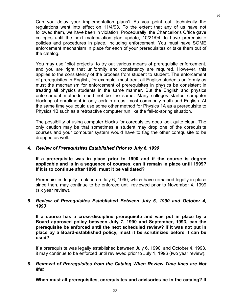Can you delay your implementation plans? As you point out, technically the regulations went into effect on 11/4/93. To the extent that any of us have not followed them, we have been in violation. Procedurally, the Chancellor's Office gave colleges until the next matriculation plan update, 10/21/94, to have prerequisite policies and procedures in place, including enforcement. You must have SOME enforcement mechanism in place for each of your prerequisites or take them out of the catalog.

You may use "pilot projects" to try out various means of prerequisite enforcement, and you are right that uniformity and consistency are required. However, this applies to the consistency of the process from student to student. The enforcement of prerequisites in English, for example, must treat all English students uniformly as must the mechanism for enforcement of prerequisites in physics be consistent in treating all physics students in the same manner. But the English and physics enforcement methods need not be the same. Many colleges started computer blocking of enrollment in only certain areas, most commonly math and English. At the same time you could use some other method for Physics 1A as a prerequisite to Physics 1B such as a retroactive computer run like the fall-to-spring situation.

The possibility of using computer blocks for corequisites does look quite clean. The only caution may be that sometimes a student may drop one of the corequisite courses and your computer system would have to flag the other corequisite to be dropped as well.

#### **4.** *Review of Prerequisites Established Prior to July 6, 1990*

**If a prerequisite was in place prior to 1990 and if the course is degree applicable and is in a sequence of courses, can it remain in place until 1999? If it is to continue after 1999, must it be validated?**

Prerequisites legally in place on July 6, 1990, which have remained legally in place since then, may continue to be enforced until reviewed prior to November 4, 1999 (six year review).

#### **5.** *Review of Prerequisites Established Between July 6, 1990 and October 4, 1993*

**If a course has a cross-discipline prerequisite and was put in place by a Board approved policy between July 7, 1990 and September, 1993, can the prerequisite be enforced until the next scheduled review? If it was not put in place by a Board-established policy, must it be scrutinized before it can be used?**

If a prerequisite was legally established between July 6, 1990, and October 4, 1993, it may continue to be enforced until reviewed prior to July 1, 1996 (two year review).

## **6.** *Removal of Prerequisites from the Catalog When Review Time lines are Not Met*

**When must all prerequisites, corequisites and advisories be in the catalog? If**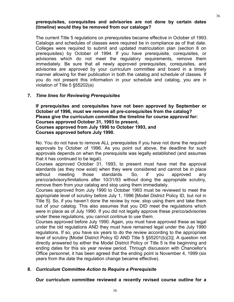## **prerequisites, corequisites and advisories are not done by certain dates (timeline) would they be removed from our catalogs?**

The current Title 5 regulations on prerequisites became effective in October of 1993. Catalogs and schedules of classes were required be in compliance as of that date. Colleges were required to submit and updated matriculation plan (section 8 on prerequisites) by October of 1994. If you have prerequisite, corequisites, or advisories which do not meet the regulatory requirements, remove them immediately. Be sure that all newly approved prerequisites, corequisites, and advisories are approved by your curriculum committee and board in a timely manner allowing for their publication in both the catalog and schedule of classes. If you do not present this information in your schedule and catalog, you are in violation of Title 5 §55202(a)

## **7.** *Time lines for Reviewing Prerequisites*

**If prerequisites and corequisites have not been approved by September or October of 1996, must we remove all pre-corequisites from the catalog? Please give the curriculum committee the timeline for course approval for: Courses approved October 31, 1993 to present, Courses approved from July 1990 to October 1993, and Courses approved before July 1990.**

No. You do not have to remove ALL prerequisites if you have not done the required approvals by October of 1996. As you point out above, the deadline for such approvals depends on when the prerequisite was legally established (and assumes that it has continued to be legal).

Courses approved October 31, 1993, to present must have met the approval standards (as they now exist) when they were considered and cannot be in place without meeting those standards. So, if you approved any pre/co/advisory/limitations after 10/31/93 without doing the appropriate scrutiny, remove them from your catalog and stop using them immediately.

Courses approved from July 1990 to October 1993 must be reviewed to meet the appropriate level of scrutiny before July 1, 1996 [Model District Policy ID, but not in Title 5]. So, if you haven't done the review by now, stop using them and take them out of your catalog. This also assumes that you DID meet the regulations which were in place as of July 1990. If you did not legally approve these pre/co/advisories under these regulations, you cannot continue to use them.

Courses approved before July 1990. Again, you must have approved these as legal under the old regulations AND they must have remained legal under the July 1990 regulations. If so, you have six years to do the review according to the appropriate level of scrutiny [Model District Policy ID AND Title 5 §55201(b)(3)]. A question not directly answered by either the Model District Policy or Title 5 is the beginning and ending dates for this six year review period. Through discussion with Chancellor's Office personnel, it has been agreed that the ending point is November 4, 1999 (six years from the date the regulation change became effective).

## **8.** *Curriculum Committee Action to Require a Prerequisite*

# **Our curriculum committee reviewed a recently revised course outline for a**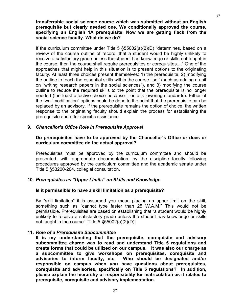#### **transferrable social science course which was submitted without an English prerequisite but clearly needed one. We conditionally approved the course, specifying an English 1A prerequisite. Now we are getting flack from the social science faculty. What do we do?**

If the curriculum committee under Title 5 §55002(a)(2)(D) "determines, based on a review of the course outline of record, that a student would be highly unlikely to receive a satisfactory grade unless the student has knowledge or skills not taught in the course, then the course shall require prerequisites or corequisites...." One of the approaches that might help in this situation is to present options to the originating faculty. At least three choices present themselves: 1) the prerequisite, 2) modifying the outline to teach the essential skills within the course itself (such as adding a unit on "writing research papers in the social sciences"), and 3) modifying the course outline to reduce the required skills to the point that the prerequisite is no longer needed (the least effective choice because it entails lowering standards). Either of the two "modification" options could be done to the point that the prerequisite can be replaced by an advisory. If the prerequisite remains the option of choice, the written response to the originating faculty should explain the process for establishing the prerequisite and offer specific assistance.

## **9.** *Chancellor's Office Role in Prerequisite Approval*

#### **Do prerequisites have to be approved by the Chancellor's Office or does or curriculum committee do the actual approval?**

Prerequisites must be approved by the curriculum committee and should be presented, with appropriate documentation, by the discipline faculty following procedures approved by the curriculum committee and the academic senate under Title 5 §53200-204, collegial consultation.

## **10.** *Prerequisites as "Upper Limits" on Skills and Knowledge*

#### **Is it permissible to have a skill limitation as a prerequisite?**

By "skill limitation" it is assumed you mean placing an upper limit on the skill, something such as "cannot type faster than 25 W.A.M." This would not be permissible. Prerequisites are based on establishing that "a student would be highly unlikely to receive a satisfactory grade unless the student has knowledge or skills not taught in the course" [Title  $5 \text{ } $55002(a)(2)(D)]$ ]

#### **11.** *Role of a Prerequisite Subcommittee*

**It is my understanding that the prerequisite, corequisite and advisory subcommittee charge was to read and understand Title 5 regulations and create forms that could be utilized on our campus. It was also our charge as a subcommittee to give workshops on prerequisites, corequisite and advisories to inform faculty, etc. Who should be designated and/or responsible on campus when you have questions about prerequisites, corequisite and advisories, specifically on Title 5 regulations? In addition, please explain the hierarchy of responsibility for matriculation as it relates to prerequisite, corequisite and advisory implementation.**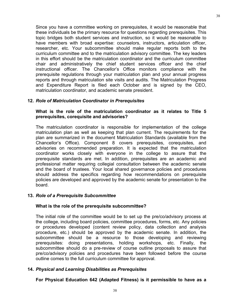Since you have a committee working on prerequisites, it would be reasonable that these individuals be the primary resource for questions regarding prerequisites. This topic bridges both student services and instruction, so it would be reasonable to have members with broad expertise: counselors, instructors, articulation officer, researcher, etc. Your subcommittee should make regular reports both to the curriculum committee and to the matriculation advisory committee. The key leaders in this effort should be the matriculation coordinator and the curriculum committee chair and administratively the chief student services officer and the chief instructional officer. The Chancellor's Office monitors compliance with the prerequisite regulations through your matriculation plan and your annual progress reports and through matriculation site visits and audits. The Matriculation Progress and Expenditure Report is filed each October and is signed by the CEO, matriculation coordinator, and academic senate president.

## **12.** *Role of Matriculation Coordinator in Prerequisites*

#### **What is the role of the matriculation coordinator as it relates to Title 5 prerequisites, corequisite and advisories?**

The matriculation coordinator is responsible for implementation of the college matriculation plan as well as keeping that plan current. The requirements for the plan are summarized in the document Matriculation Standards (available from the Chancellor's Office). Component 8 covers prerequisites, corequisites, and advisories on recommended preparation. It is expected that the matriculation coordinator works closely with everyone in the college to assure that the prerequisite standards are met. In addition, prerequisites are an academic and professional matter requiring collegial consultation between the academic senate and the board of trustees. Your local shared governance policies and procedures should address the specifics regarding how recommendations on prerequisite policies are developed and approved by the academic senate for presentation to the board.

## **13.** *Role of a Prerequisite Subcommittee*

## **What is the role of the prerequisite subcommittee?**

The initial role of the committee would be to set up the pre/co/advisory process at the college, including board policies, committee procedures, forms, etc. Any policies or procedures developed (content review policy, data collection and analysis procedure, etc.) should be approved by the academic senate. In addition, the subcommittee should be a resource to those developing and reviewing prerequisites: doing presentations, holding workshops, etc. Finally, the subcommittee should do a pre-review of course outline proposals to assure that pre/co/advisory policies and procedures have been followed before the course outline comes to the full curriculum committee for approval.

## **14.** *Physical and Learning Disabilities as Prerequisites*

**For Physical Education 642 (Adapted Fitness) is it permissible to have as a**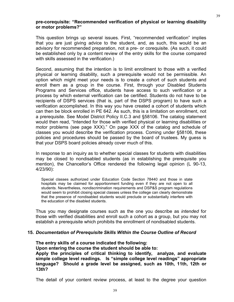#### **pre-corequisite: "Recommended verification of physical or learning disability or motor problems?"**

This question brings up several issues. First, "recommended verification" implies that you are just giving advice to the student, and, as such, this would be an advisory for recommended preparation, not a pre- or corequisite. (As such, it could be established only by a content review of the entry skills for the course compared with skills assessed in the verification.)

Second, assuming that the intention is to limit enrollment to those with a verified physical or learning disability, such a prerequisite would not be permissible. An option which might meet your needs is to create a cohort of such students and enroll them as a group in the course. First, through your Disabled Students Programs and Services office, students have access to such verification or a process by which external verification can be certified. Students do not have to be recipients of DSPS services (that is, part of the DSPS program) to have such a verification accomplished. In this way you have created a cohort of students which can then be block enrolled in PE 642. As such, this is a limitation on enrollment, not a prerequisite. See Model District Policy II.C.3 and §58106. The catalog statement would then read, "Intended for those with verified physical or learning disabilities or motor problems (see page XXX)." On page XXX of the catalog and schedule of classes you would describe the verification process. Coming under §58106, these policies and procedures should be passed by the board of trustees. My guess is that your DSPS board policies already cover much of this.

In response to an inquiry as to whether special classes for students with disabilities may be closed to nondisabled students (as in establishing the prerequisite you mention), the Chancellor's Office rendered the following legal opinion (L 90-13, 4/23/90):

 Special classes authorized under Education Code Section 78440 and those in state hospitals may be claimed for apportionment funding even if they are not open to all students. Nevertheless, nondiscrimination requirements and DSP&S program regulations would seem to prohibit closing special classes unless the college can clearly demonstrate that the presence of nondisabled students would preclude or substantially interfere with the education of the disabled students.

Thus you may designate courses such as the one you describe as *intended* for those with verified disabilities and enroll such a cohort as a group, but you may not establish a prerequisite which prohibits the enrollment of nondisabled students.

#### **15.** *Documentation of Prerequisite Skills Within the Course Outline of Record*

**The entry skills of a course indicated the following:** 

 **Upon entering the course the student should be able to:** 

**Apply the principles of critical thinking to identify, analyze, and evaluate simple college level readings. Is "simple college level readings" appropriate language? Should a grade level be assigned, such as 10th, 11th, 12th or 13th?**

The detail of your content review process, at least to the degree your question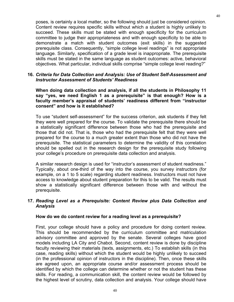poses, is certainly a local matter, so the following should just be considered opinion. Content review requires specific skills without which a student is highly unlikely to succeed. These skills must be stated with enough specificity for the curriculum committee to judge their appropriateness and with enough specificity to be able to demonstrate a match with student outcomes (exit skills) in the suggested prerequisite class. Consequently, "simple college level readings" is not appropriate language. Similarly, specification of a grade level is inappropriate. The prerequisite skills must be stated in the same language as student outcomes: active, behavioral objectives. What particular, individual skills comprise "simple college level reading?"

#### **16.** *Criteria for Data Collection and Analysis: Use of Student Self-Assessment and Instructor Assessment of Students' Readiness*

**When doing data collection and analysis, if all the students in Philosophy 11 say "yes, we need English 1 as a prerequisite" is that enough? How is a faculty member's appraisal of students' readiness different from "instructor consent" and how is it established?**

To use "student self-assessment" for the success criterion, ask students if they felt they were well prepared for the course. To validate the prerequisite there should be a statistically significant difference between those who had the prerequisite and those that did not. That is, those who had the prerequisite felt that they were well prepared for the course to a much greater extent than those who did not have the prerequisite. The statistical parameters to determine the validity of this correlation should be spelled out in the research design for the prerequisite study following your college's procedure on prerequisite data collection and analysis.

A similar research design is used for "instructor's assessment of student readiness." Typically, about one-third of the way into the course, you survey instructors (for example, on a 1 to 5 scale) regarding student readiness. Instructors must not have access to knowledge about student preparation for this to be valid. The results must show a statistically significant difference between those with and without the prerequisite.

#### **17.** *Reading Level as a Prerequisite: Content Review plus Data Collection and Analysis*

#### **How do we do content review for a reading level as a prerequisite?**

First, your college should have a policy and procedure for doing content review. This should be recommended by the curriculum committee and matriculation advisory committee and approved by the senate. Several colleges have good models including LA City and Chabot. Second, content review is done by discipline faculty reviewing their materials (texts, assignments, etc.) To establish skills (in this case, reading skills) without which the student would be highly unlikely to succeed (in the professional opinion of instructors in the discipline). Then, once these skills are agreed upon, an appropriate course and/or assessment process should be identified by which the college can determine whether or not the student has these skills. For reading, a communication skill, the content review would be followed by the highest level of scrutiny, data collection and analysis. Your college should have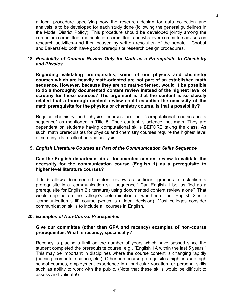a local procedure specifying how the research design for data collection and analysis is to be developed for each study done (following the general guidelines in the Model District Policy). This procedure should be developed jointly among the curriculum committee, matriculation committee, and whatever committee advises on research activities--and then passed by written resolution of the senate. Chabot and Bakersfield both have good prerequisite research design procedures.

## **18.** *Possibility of Content Review Only for Math as a Prerequisite to Chemistry and Physics*

**Regarding validating prerequisites, some of our physics and chemistry courses which are heavily math-oriented are not part of an established math sequence. However, because they are so math-oriented, would it be possible to do a thoroughly documented content review instead of the highest level of scrutiny for these courses? The argument is that the content is so closely related that a thorough content review could establish the necessity of the math prerequisite for the physics or chemistry course. Is that a possibility?**

Regular chemistry and physics courses are not "computational courses in a sequence" as mentioned in Title 5. Their content is science, not math. They are dependent on students having computational skills BEFORE taking the class. As such, math prerequisites for physics and chemistry courses require the highest level of scrutiny: data collection and analysis.

#### **19.** *English Literature Courses as Part of the Communication Skills Sequence*

**Can the English department do a documented content review to validate the necessity for the communication course (English 1) as a prerequisite to higher level literature courses?**

Title 5 allows documented content review as sufficient grounds to establish a prerequisite in a "communication skill sequence." Can English 1 be justified as a prerequisite for English 2 (literature) using documented content review alone? That would depend on the college's determination of whether or not English 2 is a "communication skill" course (which is a local decision). Most colleges consider communication skills to include all courses in English.

## **20.** *Examples of Non-Course Prerequsites*

#### **Give our committee (other than GPA and recency) examples of non-course prerequisites. What is recency, specifically?**

Recency is placing a limit on the number of years which have passed since the student completed the prerequisite course, e.g., "English 1A within the last 5 years." This may be important in disciplines where the course content is changing rapidly (nursing, computer science, etc.). Other non-course prerequisites might include high school courses, employment experience in a particular vocation, or personal skills such as ability to work with the public. (Note that these skills would be difficult to assess and validate!)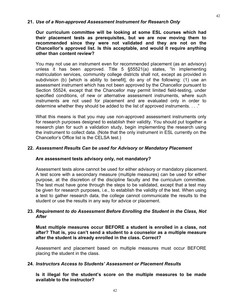## **21.** *Use of a Non-approved Assessment Instrument for Research Only*

**Our curriculum committee will be looking at some ESL courses which had their placement tests as prerequisites, but we are now moving them to recommended since they were not validated and they are not on the Chancellor's approved list. Is this acceptable, and would it require anything other than content review?**

You may not use an instrument even for recommended placement (as an advisory) unless it has been approved. Title 5 §55521(a) states, "In implementing matriculation services, community college districts shall not, except as provided in subdivision (b) [which is ability to benefit], do any of the following: (1) use an assessment instrument which has not been approved by the Chancellor pursuant to Section 55524, except that the Chancellor may permit limited field-testing, under specified conditions, of new or alternative assessment instruments, where such instruments are not used for placement and are evaluated only in order to determine whether they should be added to the list of approved instruments. . . ."

What this means is that you may use non-approved assessment instruments only for research purposes designed to establish their validity. You should put together a research plan for such a validation study, begin implementing the research using the instrument to collect data. (Note that the only instrument in ESL currently on the Chancellor's Office list is the CELSA test.)

#### **22.** *Assessment Results Can be used for Advisory or Mandatory Placement*

## **Are assessment tests advisory only, not mandatory?**

Assessment tests alone cannot be used for either advisory or mandatory placement. A test score with a secondary measure (multiple measures) can be used for either purpose, at the discretion of the discipline faculty and the curriculum committee. The test must have gone through the steps to be validated, except that a test may be given for research purposes, i.e., to establish the validity of the test. When using a test to gather research data, the college cannot communicate the results to the student or use the results in any way for advice or placement.

## **23.** *Requirement to do Assessment Before Enrolling the Student in the Class, Not After*

**Must multiple measures occur BEFORE a student is enrolled in a class, not after? That is, you can't send a student to a counselor as a multiple measure after the student is already enrolled in the class. Correct?**

Assessment and placement based on multiple measures must occur BEFORE placing the student in the class.

#### **24.** *Instructors Access to Students' Assessment or Placement Results*

**Is it illegal for the student's score on the multiple measures to be made available to the instructor?**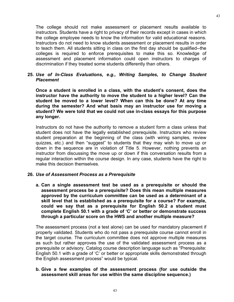The college should not make assessment or placement results available to instructors. Students have a right to privacy of their records except in cases in which the college employee needs to know the information for valid educational reasons. Instructors do not need to know students assessment or placement results in order to teach them. All students sitting in class on the first day should be qualified--the colleges is required to enforce prerequisites to make this so. Knowledge of assessment and placement information could open instructors to charges of discrimination if they treated some students differently than others.

## **25.** *Use of In-Class Evaluations, e.g., Writing Samples, to Change Student Placement*

**Once a student is enrolled in a class, with the student's consent, does the instructor have the authority to move the student to a higher level? Can the student be moved to a lower level? When can this be done? At any time during the semester? And what basis may an instructor use for moving a student? We were told that we could not use in-class essays for this purpose any longer.**

Instructors do not have the authority to remove a student form a class unless that student does not have the legally established prerequisite. Instructors who review student preparation at the beginning of the class (with wiring samples, review quizzes, etc.) and then "suggest" to students that they may wish to move up or down in the sequence are in violation of Title 5. However, nothing prevents an instructor from discussing the move up or down if this conversation results from a regular interaction within the course design. In any case, students have the right to make this decision themselves.

## **26.** *Use of Assessment Process as a Prerequisite*

**a. Can a single assessment test be used as a prerequisite or should the assessment process be a prerequisite? Does this mean multiple measures approved by the curriculum committee can be used as a determinant of a skill level that is established as a prerequisite for a course? For example, could we say that as a prerequisite for English 50.2 a student must complete English 50.1 with a grade of 'C' or better or demonstrate success through a particular score on the HWS and another multiple measure?**

The assessment process (not a test alone) can be used for mandatory placement if properly validated. Students who do not pass a prerequisite course cannot enroll in the target course. The curriculum committee does not approve multiple measures as such but rather approves the use of the validated assessment process as a prerequisite or advisory. Catalog course description language such as "Prerequisite: English 50.1 with a grade of 'C' or better or appropriate skills demonstrated through the English assessment process" would be typical.

#### **b. Give a few examples of the assessment process (for use outside the assessment skill areas for use within the same discipline sequence.)**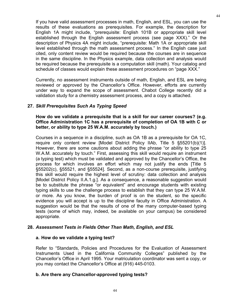If you have valid assessment processes in math, English, and ESL, you can use the results of these evaluations as prerequisites. For example, the description for English 1A might include, "prerequisite: English 101B or appropriate skill level established through the English assessment process (see page XXX)." Or the description of Physics 4A might include, "prerequisite: Math 1A or appropriate skill level established through the math assessment process." In the English case just cited, only content review would be required because the courses are in sequence in the same discipline. In the Physics example, data collection and analysis would be required because the prerequisite is a computation skill (math). Your catalog and schedule of classes would explain these assessment procedures on "page XXX."

Currently, no assessment instruments outside of math, English, and ESL are being reviewed or approved by the Chancellor's Office. However, efforts are currently under way to expand the scope of assessment. Chabot College recently did a validation study for a chemistry assessment process, and a copy is attached.

## **27.** *Skill Prerequisites Such As Typing Speed*

## **How do we validate a prerequisite that is a skill for our career courses? (e.g. Office Administration 1C has a prerequisite of completion of OA 1B with C or better, or ability to type 25 W.A.M. accurately by touch.)**

Courses in a sequence in a discipline, such as OA 1B as a prerequisite for OA 1C, require only content review [Model District Policy IIAb, Title 5 §55201(b)(1)]. However, there are some cautions about adding the phrase "or ability to type 25 W.A.M. accurately by touch." First, assessing this skill would require an instrument (a typing test) which must be validated and approved by the Chancellor's Office, the process for which involves an effort which may not justify the ends [Title 5 §55202(c), §55521, and §55524]. Second, as a non-course prerequisite, justifying this skill would require the highest level of scrutiny: data collection and analysis [Model District Policy II.A.1.g.]. As a consequence, a reasonable suggestion would be to substitute the phrase "or equivalent" and encourage students with existing typing skills to use the challenge process to establish that they can type 25 W.A.M. or more. As you know, the burden of proof is on the student, so the specific evidence you will accept is up to the discipline faculty in Office Administration. A suggestion would be that the results of one of the many computer-based typing tests (some of which may, indeed, be available on your campus) be considered appropriate.

## **28.** *Assessment Tests in Fields Other Than Math, English, and ESL*

## **a. How do we validate a typing test?**

Refer to "Standards, Policies and Procedures for the Evaluation of Assessment Instruments Used in the California Community Colleges" published by the Chancellor's Office in April 1995. Your matriculation coordinator was sent a copy, or you may contact the Chancellor's Office at (916) 445-0103.

## **b. Are there any Chancellor-approved typing tests?**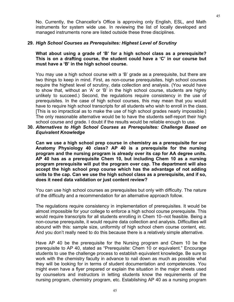No. Currently, the Chancellor's Office is approving only English, ESL, and Math instruments for system wide use. In reviewing the list of locally developed and managed instruments none are listed outside these three disciplines.

#### **29.** *High School Courses as Prerequisites: Highest Level of Scrutiny*

**What about using a grade of 'B' for a high school class as a prerequisite? This is on a drafting course, the student could have a 'C' in our course but must have a 'B' in the high school course.**

You may use a high school course with a 'B' grade as a prerequisite, but there are two things to keep in mind. First, as non-course prerequisites, high school courses require the highest level of scrutiny, data collection and analysis. (You would have to show that, without an 'A' or 'B' in the high school course, students are highly unlikely to succeed.) Second, the regulations require consistency in the use of prerequisites. In the case of high school courses, this may mean that you would have to require high school transcripts for all students who wish to enroll in the class. [This is so impractical as to make the use of high school grades nearly impossible.] The only reasonable alternative would be to have the students self-report their high school course and grade. I doubt if the results would be reliable enough to use.

**30.** *Alternatives to High School Courses as Prerequisites: Challenge Based on Equivalent Knowledge*

**Can we use a high school prep course in chemistry as a prerequisite for our Anatomy Physiology 40 class? AP 40 is a prerequisite for the nursing program and the nursing program is already over its cap for AA degree units. AP 40 has as a prerequisite Chem 10, but including Chem 10 as a nursing program prerequisite will put the program over cap. The department will also accept the high school prep course which has the advantage of not adding units to the cap. Can we use the high school class as a prerequisite, and if so, does it need data validation or just content review?**

You can use high school courses as prerequisites but only with difficulty. The nature of the difficulty and a recommendation for an alternative approach follow.

The regulations require consistency in implementation of prerequisites. It would be almost impossible for your college to enforce a high school course prerequisite. This would require transcripts for all students enrolling in Chem 10--not feasible. Being a non-course prerequisite, it would require data collection and analysis. Difficulties will abound with this: sample size, uniformity of high school chem course content, etc. And you don't really need to do this because there is a relatively simple alternative.

Have AP 40 be the prerequisite for the Nursing program and Chem 10 be the prerequisite to AP 40, stated as "Prerequisite: Chem 10 or equivalent." Encourage students to use the challenge process to establish equivalent knowledge. Be sure to work with the chemistry faculty in advance to nail down as much as possible what they will be looking for in terms of student documentation and competencies. You might even have a flyer prepared or explain the situation in the major sheets used by counselors and instructors in letting students know the requirements of the nursing program, chemistry program, etc. Establishing AP 40 as a nursing program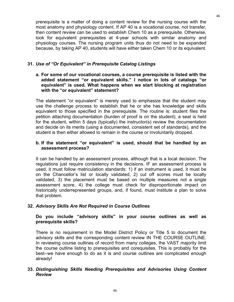prerequisite is a matter of doing a content review for the nursing course with the most anatomy and physiology content. If AP 40 is a vocational course, not transfer, then content review can be used to establish Chem 10 as a prerequisite. Otherwise, look for equivalent prerequisites at 4-year schools with similar anatomy and physiology courses. The nursing program units thus do not need to be expanded because, by taking AP 40, students will have either taken Chem 10 or its equivalent.

# **31.** *Use of "Or Equivalent" in Prerequisite Catalog Listings*

**a. For some of our vocational courses, a course prerequisite is listed with the added statement "or equivalent skills." I notice in lots of catalogs "or equivalent" is used. What happens when we start blocking at registration with the "or equivalent" statement?**

The statement "or equivalent" is merely used to emphasize that the student may use the challenge process to establish that he or she has knowledge and skills equivalent to those specified in the prerequisite. The routine is: student files the petition attaching documentation (burden of proof is on the student), a seat is held for the student, within 5 days (typically) the instructor(s) review the documentation and decide on its merits (using a documented, consistent set of standards), and the student is then either allowed to remain in the course or involuntarily dropped.

# **b. If the statement "or equivalent" is used, should that be handled by an assessment process?**

It can be handled by an assessment process, although that is a local decision. The regulations just require consistency in the decisions. IF an assessment process is used, it must follow matriculation standards: 1) if an instrument is used, it must be on the Chancellor's list or locally validated, 2) cut off scores must be locally validated, 3) the placement must be based on multiple measures not a single assessment score, 4) the college must check for disproportionate impact on historically underrepresented groups, and, if found, must institute a plan to solve that problem.

# **32.** *Advisory Skills Are Not Required in Course Outlines*

# **Do you include "advisory skills" in your course outlines as well as prerequisite skills?**

There is no requirement in the Model District Policy or Title 5 to document the advisory skills and the corresponding content review IN THE COURSE OUTLINE. In reviewing course outlines of record from many colleges, the VAST majority limit the course outline listing to prerequisites and corequisites. This is probably for the best--we have enough to do as it is and course outlines are complicated enough already!

# **33.** *Distinguishing Skills Needing Prerequisites and Advisories Using Content Review*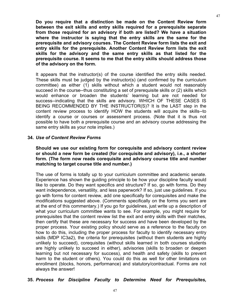**Do you require that a distinction be made on the Content Review form between the exit skills and entry skills required for a prerequisite separate from those required for an advisory if both are listed? We have a situation where the instructor is saying that the entry skills are the same for the prerequisite and advisory courses. The Content Review form lists the exit and entry skills for the prerequisite. Another Content Review form lists the exit skills for the advisory and the same entry skills as that listed for the prerequisite course. It seems to me that the entry skills should address those of the advisory on the form.**

It appears that the instructor(s) of the course identified the entry skills needed. These skills must be judged by the instructor(s) (and confirmed by the curriculum committee) as either (1) skills without which a student would not reasonably succeed in the course--thus constituting a set of prerequisite skills or (2) skills which would enhance or broaden the students' learning but are not needed for success--indicating that the skills are advisory. WHICH OF THESE CASES IS BEING RECOMMENDED BY THE INSTRUCTOR(S)? It is the LAST step in the content review process to identify HOW the students will acquire the skills--to identify a course or courses or assessment process. (Note that it is thus not possible to have both a prerequisite course and an advisory course addressing the same entry skills as your note implies.)

#### **34.** *Use of Content Review Forms*

**Should we use our existing form for corequisite and advisory content review or should a new form be created (for corequisite and advisory), i.e., a shorter form. (The form now reads corequisite and advisory course title and number matching to target course title and number.)** 

The use of forms is totally up to your curriculum committee and academic senate. Experience has shown the guiding principle to be how your discipline faculty would like to operate. Do they want specifics and structure? If so, go with forms. Do they want independence, versatility, and less paperwork? If so, just use guidelines. If you go with forms for content review, add one specifically for corequisites and make the modifications suggested above. (Comments specifically on the forms you sent are at the end of this commentary.) If you go for guidelines, just write up a description of what your curriculum committee wants to see. For example, you might require for prerequisites that the content review list the exit and entry skills with their matches, then certify that these are necessary for success and have been developed by the proper process. Your existing policy should serve as a reference to the faculty on how to do this, including the proper process for faculty to identify necessary entry skills (MDP IC3a2), the criteria for prerequisites (without them students are highly unlikely to succeed), corequisites (without skills learned in both courses students are highly unlikely to succeed in either), advisories (skills to broaden or deepen learning but not necessary for success), and health and safety (skills to prevent harm to the student or others). You could do this as well for other limitations on enrollment (blocks, honors, performance) and statutory/contractual. Forms are not always the answer!

# **35.** *Process for Discipline Faculty to Determine Need for Prerequisites,*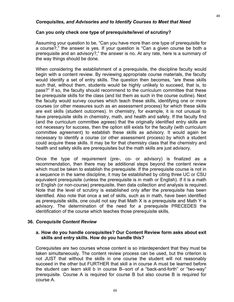#### *Corequisites, and Advisories and to Identify Courses to Meet that Need*

#### **Can you only check one type of prerequisite/level of scrutiny?**

Assuming your question to be, "Can you have more than one type of prerequisite for a course?," the answer is yes. If your question is "Can a given course be both a prerequisite and an advisory?," the answer is no. At any rate, here is a summary of the way things should be done.

When considering the establishment of a prerequisite, the discipline faculty would begin with a content review. By reviewing appropriate course materials, the faculty would identify a set of entry skills. The question then becomes, "are these skills such that, without them, students would be highly unlikely to succeed, that is, to pass?" If so, the faculty should recommend to the curriculum committee that these be prerequisite skills for the class (and list them as such in the course outline). Next the faculty would survey courses which teach these skills, identifying one or more courses (or other measures such as an assessment process) for which these skills are exit skills (student outcomes). In chemistry, for example, it is not unusual to have prerequisite skills in chemistry, math, and health and safety. If the faculty find (and the curriculum committee agrees) that the originally identified entry skills are not necessary for success, then the option still exists for the faculty (with curriculum committee agreement) to establish these skills as advisory. It would again be necessary to identify a course (or other assessment process) by which a student could acquire these skills. It may be for that chemistry class that the chemistry and health and safety skills are prerequisites but the math skills are just advisory.

Once the type of requirement (pre-, co- or advisory) is finalized as a recommendation, then there may be additional steps beyond the content review which must be taken to establish the prerequisite. If the prerequisite course is not in a sequence in the same discipline, it may be established by citing three UC or CSU equivalent prerequisite (unless the prerequisite is in math or English). If it is a math or English (or non-course) prerequisite, then data collection and analysis is required. Note that the level of scrutiny is established only after the prerequisite has been identified. Also note that once a set of skills, such as in math, have been identified as prerequisite skills, one could not say that Math X is a prerequisite and Math Y is advisory. The determination of the need for a prerequisite PRECEDES the identification of the course which teaches those prerequisite skills.

#### **36.** *Corequisite Content Review*

#### **a. How do you handle corequisites? Our Content Review form asks about exit skills and entry skills. How do you handle this?**

Corequisites are two courses whose content is so interdependent that they must be taken simultaneously. The content review process can be used, but the criterion is not JUST that without the skills in one course the student will not reasonably succeed in the other but FURTHER that skill a in course A must be learned before the student can learn skill b in course B--sort of a "back-and-forth" or "two-way" prerequisite. Course A is required for course B but also course B is required for course A.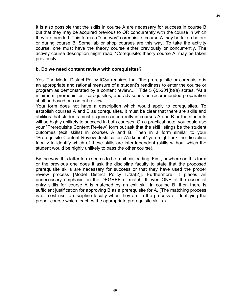It is also possible that the skills in course A are necessary for success in course B but that they may be acquired previous to OR concurrently with the course in which they are needed. This forms a "one-way" corequisite: course A may be taken before or during course B. Some lab or shop courses are this way. To take the activity course, one must have the theory course either previously or concurrently. The activity course description might read, "Corequisite: theory course A, may be taken previously."

## **b. Do we need content review with corequisites?**

Yes. The Model District Policy IC3a requires that "the prerequisite or corequisite is an appropriate and rational measure of a student's readiness to enter the course or program as demonstrated by a content review...." Title 5 §55201(b)(a) states, "At a minimum, prerequisites, corequisites, and advisories on recommended preparation shall be based on content review...."

Your form does not have a description which would apply to corequisites. To establish courses A and B as corequisites, it must be clear that there are skills and abilities that students must acquire concurrently in courses A and B or the students will be highly unlikely to succeed in both courses. On a practical note, you could use your "Prerequisite Content Review" form but ask that the skill listings be the student outcomes (exit skills) in courses A and B. Then in a form similar to your "Prerequisite Content Review Justification Worksheet" you might ask the discipline faculty to identify which of these skills are interdependent (skills without which the student would be highly unlikely to pass the other course).

By the way, this latter form seems to be a bit misleading. First, nowhere on this form or the previous one does it ask the discipline faculty to state that the proposed prerequisite skills are necessary for success or that they have used the proper review process [Model District Policy IC3a(2)]. Furthermore, it places an unnecessary emphasis on the DEGREE of match. If even ONE of the essential entry skills for course A is matched by an exit skill in course B, then there is sufficient justification for approving B as a prerequisite for A. (The matching process is of most use to discipline faculty when they are in the process of identifying the proper course which teaches the appropriate prerequisite skills.)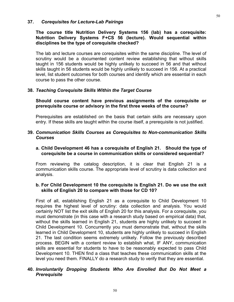#### **37.** *Corequisites for Lecture-Lab Pairings*

## **The course title Nutrition Delivery Systems 156 (lab) has a corequisite: Nutrition Delivery Systems F+CS 56 (lecture). Would sequential within disciplines be the type of corequisite checked?**

The lab and lecture courses are corequisites within the same discipline. The level of scrutiny would be a documented content review establishing that without skills taught in 156 students would be highly unlikely to succeed in 56 and that without skills taught in 56 students would be highly unlikely to succeed in 156. At a practical level, list student outcomes for both courses and identify which are essential in each course to pass the other course.

#### **38.** *Teaching Corequisite Skills Within the Target Course*

#### **Should course content have previous assignments of the corequisite or prerequisite course or advisory in the first three weeks of the course?**

Prerequisites are established on the basis that certain skills are necessary upon entry. If these skills are taught within the course itself, a prerequisite is not justified.

#### **39.** *Communication Skills Courses as Corequisites to Non-communication Skills Courses*

#### **a. Child Development 46 has a corequisite of English 21. Should the type of corequisite be a course in communication skills or considered sequential?**

From reviewing the catalog description, it is clear that English 21 is a communication skills course. The appropriate level of scrutiny is data collection and analysis.

## **b. For Child Development 10 the corequisite is English 21. Do we use the exit skills of English 20 to compare with those for CD 10?**

First of all, establishing English 21 as a corequisite to Child Development 10 requires the highest level of scrutiny: data collection and analysis. You would certainly NOT list the exit skills of English 20 for this analysis. For a corequisite, you must demonstrate (in this case with a research study based on empirical data) that, without the skills learned in English 21, students are highly unlikely to succeed in Child Development 10. Concurrently you must demonstrate that, without the skills learned in Child Development 10, students are highly unlikely to succeed in English 21. The last condition seems extremely unlikely. Follow the previously described process. BEGIN with a content review to establish what, IF ANY, communication skills are essential for students to have to be reasonably expected to pass Child Development 10. THEN find a class that teaches these communication skills at the level you need them. FINALLY do a research study to verify that they are essential.

#### **40.** *Involuntarily Dropping Students Who Are Enrolled But Do Not Meet a Prerequisite*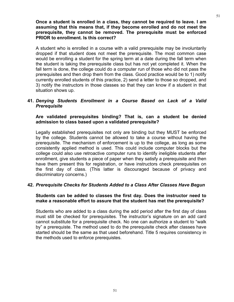**Once a student is enrolled in a class, they cannot be required to leave. I am assuming that this means that, if they become enrolled and do not meet the prerequisite, they cannot be removed. The prerequisite must be enforced PRIOR to enrollment. Is this correct?**

A student who is enrolled in a course with a valid prerequisite may be involuntarily dropped if that student does not meet the prerequisite. The most common case would be enrolling a student for the spring term at a date during the fall term when the student is taking the prerequisite class but has not yet completed it. When the fall term is done, the college could do a computer run of those who did not pass the prerequisites and then drop them from the class. Good practice would be to 1) notify currently enrolled students of this practice, 2) send a letter to those so dropped, and 3) notify the instructors in those classes so that they can know if a student in that situation shows up.

#### **41.** *Denying Students Enrollment in a Course Based on Lack of a Valid Prerequisite*

**Are validated prerequisites binding? That is, can a student be denied admission to class based upon a validated prerequisite?**

Legally established prerequisites not only are binding but they MUST be enforced by the college. Students cannot be allowed to take a course without having the prerequisite. The mechanism of enforcement is up to the college, as long as some consistently applied method is used. This could include computer blocks but the college could also use retroactive computer runs to identify ineligible students after enrollment, give students a piece of paper when they satisfy a prerequisite and then have them present this for registration, or have instructors check prerequisites on the first day of class. (This latter is discouraged because of privacy and discriminatory concerns.)

## **42.** *Prerequisite Checks for Students Added to a Class After Classes Have Begun*

#### **Students can be added to classes the first day. Does the instructor need to make a reasonable effort to assure that the student has met the prerequisite?**

Students who are added to a class during the add period after the first day of class must still be checked for prerequisites. The instructor's signature on an add card cannot substitute for a prerequisite check. No one can authorize a student to "walk by" a prerequiste. The method used to do the prerequisite check after classes have started should be the same as that used beforehand. Title 5 requires consistency in the methods used to enforce prerequistes.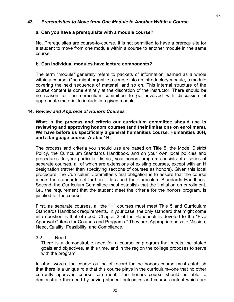#### **a. Can you have a prerequisite with a module course?**

No. Prerequisites are course-to-course. It is not permitted to have a prerequisite for a student to move from one module within a course to another module in the same course.

#### **b. Can individual modules have lecture components?**

The term "module" generally refers to packets of information learned as a whole within a course. One might organize a course into an introductory module, a module covering the next sequence of material, and so on. This internal structure of the course content is done entirely at the discretion of the instructor. There should be no reason for the curriculum committee to get involved with discussion of appropriate material to include in a given module.

#### **44.** *Review and Approval of Honors Courses*

**What is the process and criteria our curriculum committee should use in reviewing and approving honors courses (and their limitations on enrollment). We have before us specifically a general humanities course, Humanities 30H, and a language course, Arabic 1H.**

The process and criteria you should use are based on Title 5, the Model District Policy, the Curriculum Standards Handbook, and on your own local policies and procedures. In your particular district, your honors program consists of a series of separate courses, all of which are extensions of existing courses, except with an H designation (rather than specifying sections of courses as honors). Given this local procedure, the Curriculum Committee's first obligation is to assure that the course meets the standards set forth in Title 5 and the Curriculum Standards Handbook. Second, the Curriculum Committee must establish that the limitation on enrollment, i.e., the requirement that the student meet the criteria for the honors program, is justified for the course.

First, as separate courses, all the "H" courses must meet Title 5 and Curriculum Standards Handbook requirements. In your case, the only standard that might come into question is that of need. Chapter 3 of the Handbook is devoted to the "Five Approval Criteria for Courses and Programs." They are: Appropriateness to Mission, Need, Quality, Feasibility, and Compliance.

## 3.2 Need

 There is a demonstrable need for a course or program that meets the stated goals and objectives, at this time, and in the region the college proposes to serve with the program.

In other words, the course outline of record for the honors course must establish that there is a unique role that this course plays in the curriculum--one that no other currently approved course can meet. The honors course should be able to demonstrate this need by having student outcomes and course content which are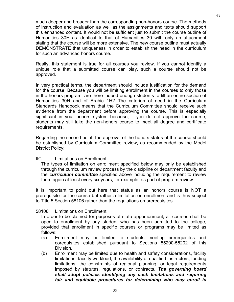much deeper and broader than the corresponding non-honors course. The methods of instruction and evaluation as well as the assignments and texts should support this enhanced content. It would not be sufficient just to submit the course outline of Humanities 30H as identical to that of Humanities 30 with only an attachment stating that the course will be more extensive. The new course outline must actually DEMONSTRATE that uniqueness in order to establish the need in the curriculum for such an advanced honors course.

Really, this statement is true for all courses you review. If you cannot identify a unique role that a submitted course can play, such a course should not be approved.

In very practical terms, the department should include justification for the demand for the course. Because you will be limiting enrollment in the courses to only those in the honors program, are there indeed enough students to fill an entire section of Humanities 30H and of Arabic 1H? The criterion of need in the Curriculum Standards Handbook means that the Curriculum Committee should receive such evidence from the department before approving the course. This is especially significant in your honors system because, if you do not approve the course, students may still take the non-honors course to meet all degree and certificate requirements.

Regarding the second point, the approval of the honors status of the course should be established by Curriculum Committee review, as recommended by the Model District Policy:

#### IIC. Limitations on Enrollment

 The types of limitation on enrollment specified below may only be established through the curriculum review process by the discipline or department faculty and the *curriculum committee* specified above including the requirement to review them again at least every six years, for example, as part of program review.

It is important to point out here that status as an honors course is NOT a prerequisite for the course but rather a limitation on enrollment and is thus subject to Title 5 Section 58106 rather than the regulations on prerequisites.

## 58106 Limitations on Enrollment

 In order to be claimed for purposes of state apportionment, all courses shall be open to enrollment by any student who has been admitted to the college, provided that enrollment in specific courses or programs may be limited as follows:

- (a) Enrollment may be limited to students meeting prerequisites and corequisites established pursuant to Sections 55200-55202 of this Division.
- (b) Enrollment may be limited due to health and safety considerations, facility limitations, faculty workload, the availability of qualified instructors, funding limitations, the constraints of regional planning, or legal requirements imposed by statutes, regulations, or contracts. *The governing board shall adopt policies identifying any such limitations and requiring fair and equitable procedures for determining who may enroll in*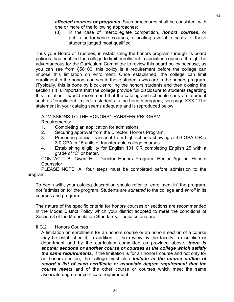*affected courses or programs.* Such procedures shall be consistent with one or more of the following approaches:

 (3) in the case of intercollegiate competition, *honors courses*, or public performance courses, allocating available seats to those students judged most qualified

Thus your Board of Trustees, in establishing the honors program through its board policies, has enabled the college to limit enrollment in specified courses. It might be advantageous for the Curriculum Committee to review this board policy because, as you can see from §58106, this policy is a requirement before the college can impose this limitation on enrollment. Once established, the college can limit enrollment in the honors courses to those students who are in the honors program. (Typically, this is done by block enrolling the honors students and then closing the section.) It is important that the college provide full disclosure to students regarding this limitation. I would recommend that the catalog and schedule carry a statement such as "enrollment limited to students in the honors program; see page XXX." The statement in your catalog seems adequate and is reproduced below.

ADMISSIONS TO THE HONORS/TRANSFER PROGRAM

Requirements:

- 1. Completing an application for admissions.
- 2. Securing approval from the Director, Honors Program.
- 3. Presenting official transcript from high schools showing a 3.0 GPA OR a 3.0 GPA in 15 units of transferrable college courses.
- 4. Establishing eligibility for English 101 OR completing English 25 with a grade of "C" or better.

 CONTACT: B. Gwen Hill, Director Honors Program; Hector Aguilar, Honors **Counselor** 

PLEASE NOTE: All four steps must be completed before admission to the

program.

To begin with, your catalog description should refer to "enrollment in" the program, not "admission to" the program. Students are *admitted* to the college and *enroll* in its courses and program.

The nature of the specific criteria for honors courses or sections are recommended in the Model District Policy which your district adopted to meet the conditions of Section 8 of the Matriculation Standards. These criteria are:

## II.C.2 Honors Courses

 A limitation on enrollment for an honors course or an honors section of a course may be established if, in addition to the review by the faculty in discipline or department and by the curriculum committee as provided above, *there is another sections or another course or courses at the college which satisfy the same requirements*. If the limitation is for an honors course and not only for an honors section, the college must also *include in the course outline of record a list of each certificate or associate degree requirement that the course meets* and of the other course or courses which meet the same associate degree or certificate requirement.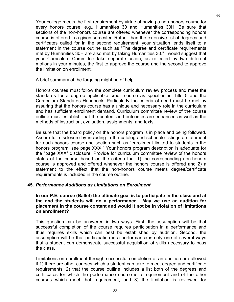Your college meets the first requirement by virtue of having a non-honors course for every honors course, e.g., Humanities 30 and Humanities 30H. Be sure that sections of the non-honors course are offered whenever the corresponding honors course is offered in a given semester. Rather than the extensive list of degrees and certificates called for in the second requirement, your situation lends itself to a statement in the course outline such as "The degree and certificate requirements met by Humanities 30H are also met by taking Humanities 30." I would suggest that your Curriculum Committee take separate action, as reflected by two different motions in your minutes, the first to approve the course and the second to approve the limitation on enrollment.

A brief summary of the forgoing might be of help.

Honors courses must follow the complete curriculum review process and meet the standards for a degree applicable credit course as specified in Title 5 and the Curriculum Standards Handbook. Particularly the criteria of need must be met by assuring that the honors course has a unique and necessary role in the curriculum and has sufficient enrollment demand. Curriculum committee review of the course outline must establish that the content and outcomes are enhanced as well as the methods of instruction, evaluation, assignments, and texts.

Be sure that the board policy on the honors program is in place and being followed. Assure full disclosure by including in the catalog and schedule listings a statement for each honors course and section such as "enrollment limited to students in the honors program; see page XXX." Your honors program description is adequate for the "page XXX" disclosure. Provide for curriculum committee review of the honors status of the course based on the criteria that 1) the corresponding non-honors course is approved and offered whenever the honors course is offered and 2) a statement to the effect that the non-honors course meets degree/certificate requirements is included in the course outline.

#### **45.** *Performance Auditions as Limitations on Enrollment*

**In our P.E. course (Ballet) the ultimate goal is to participate in the class and at the end the students will do a performance. May we use an audition for placement in the course content and would it not be in violation of limitations on enrollment?**

This question can be answered in two ways. First, the assumption will be that successful completion of the course requires participation in a performance and thus requires skills which can best be established by audition. Second, the assumption will be that participation in a performance is only one of several ways that a student can demonstrate successful acquisition of skills necessary to pass the class.

Limitations on enrollment through successful completion of an audition are allowed if 1) there are other courses which a student can take to meet degree and certificate requirements, 2) that the course outline includes a list both of the degrees and certificates for which the performance course is a requirement and of the other courses which meet that requirement, and 3) the limitation is reviewed for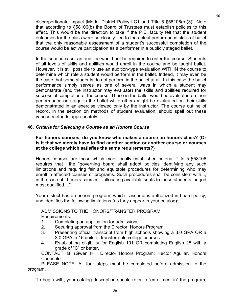disproportionate impact [Model District Policy IIC1 and Title 5 §58106(b)(3)]. Note that according to §58106(b) the Board of Trustees must establish policies to this effect. This would be the direction to take if the P.E. faculty felt that the student outcomes for the class were so closely tied to the actual performance skills of ballet that the only reasonable assessment of a student's successful completion of the course would be active participation as a performer in a publicly staged ballet.

In the second case, an audition would not be required to enter the course. Students of all levels of skills and abilities would enroll in the course and be taught ballet. However, it is still possible to use an audition-type evaluation WITHIN the course to determine which role a student would perform in the ballet. Indeed, it may even be the case that some students do not perform in the ballet at all. In this case the ballet performance simply serves as one of several ways in which a student may demonstrate (and the instructor may evaluate) the skills and abilities required for successful completion of the course. Those in the ballet would be evaluated on their performance on stage in the ballet while others might be evaluated on their skills demonstrated in an exercise viewed only by the instructor. The course outline of record, in the section on methods of student evaluation, should spell out these various methods appropriately.

## **46.** *Criteria for Selecting a Course as an Honors Course*

## **For honors courses, do you know who makes a course an honors class? (Or is it that we merely have to find another section or another course or courses at the college which satisfies the same requirements?)**

Honors courses are those which meet locally established criteria. Title 5 §58106 requires that the "governing board shall adopt policies identifying any such limitations and requiring fair and equitable procedures for determining who may enroll in affected courses or programs. Such procedures shall be consistent with..., in the case of...honors courses,...allocating available seats to those students judged most qualified...."

Your district has an honors program, which I assume is authorized in board policy, and identifies the following limitations (as they appear in your catalog):

## ADMISSIONS TO THE HONORS/TRANSFER PROGRAM Requirements:

- 1. Completing an application for admissions.
- 2. Securing approval from the Director, Honors Program.
- 3. Presenting official transcript from high schools showing a 3.0 GPA OR a 3.0 GPA in 15 units of transferrable college courses.
- 4. Establishing eligibility for English 101 OR completing English 25 with a grade of "C" or better.

 CONTACT: B. (Gwen Hill, Director Honors Program; Hector Aguilar, Honors **Counselor** 

 PLEASE NOTE: All four steps must be completed before admission to the program.

To begin with, your catalog description should refer to "enrollment in" the program,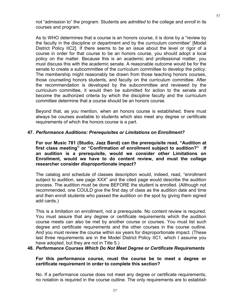not "admission to" the program. Students are *admitted* to the college and *enroll* in its courses and program.

As to WHO determines that a course is an honors course, it is done by a "review by the faculty in the discipline or department and by the curriculum committee" [Model District Policy IIC2]. If there seems to be an issue about the level or rigor of a course in order for that course to be an honors course, you should adopt a local policy on the matter. Because this is an academic and professional matter, you must discuss this with the academic senate. A reasonable outcome would be for the senate to create a subcommittee of the curriculum committee to develop the policy. The membership might reasonably be drawn from those teaching honors courses, those counseling honors students, and faculty on the curriculum committee. After the recommendation is developed by the subcommittee and reviewed by the curriculum committee, it would then be submitted for action to the senate and become the authorized criteria by which the discipline faculty and the curriculum committee determine that a course should be an honors course.

Beyond that, as you mention, when an honors course is established, there must always be courses available to students which also meet any degree or certificate requirements of which the honors course is a part.

## **47.** *Performance Auditions: Prerequisites or Limitations on Enrollment?*

**For our Music 781 (Studio, Jazz Band) can the prerequisite read, "Audition at first class meeting" or "Confirmation of enrollment subject to audition?" If an audition is a prerequisite, would we consider other Limitations on Enrollment, would we have to do content review, and must the college researcher consider disproportionate impact?**

The catalog and schedule of classes description would, indeed, read, "enrollment subject to audition, see page XXX" and the cited page would describe the audition process. The audition must be done BEFORE the student is enrolled. (Although not recommended, one COULD give the first day of class as the audition date and time and then enroll students who passed the audition on the spot by giving them signed add cards.)

This is a limitation on enrollment, not a prerequisite. No content review is required. You must assure that any degree or certificate requirements which the audition course meets can also be met by another course or courses. You must list such degree and certificate requirements and the other courses in the course outline. And you must review the course within six years for disproportionate impact. (These last three requirements are in the Model District Policy IIC1, which I assume you have adopted, but they are not in Title 5.)

## **48.** *Performance Courses Which Do Not Meet Degree or Certificate Requirements*

#### **For this performance course, must the course be to meet a degree or certificate requirement in order to complete this section?**

No. If a performance course does not meet any degree or certificate requirements, no notation is required in the course outline. The only requirements are to establish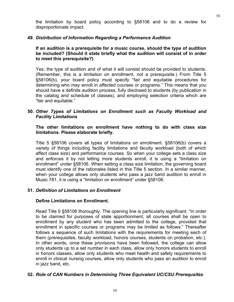the limitation by board policy according to §58106 and to do a review for disproportionate impact.

## **49.** *Distribution of Information Regarding a Performance Audition*

## **If an audition is a prerequisite for a music course, should the type of audition be included? (Should it state briefly what the audition will consist of in order to meet this prerequisite?)**

Yes, the type of audition and of what it will consist should be provided to students. (Remember, this is a limitation on enrollment, not a prerequisite.) From Title 5 §58106(b), your board policy must specify "fair and equitable procedures for determining who may enroll in affected courses or programs." This means that you should have a definite audition process, fully disclosed to students (by publication in the catalog and schedule of classes), and employing selection criteria which are "fair and equitable."

## **50.** *Other Types of Limitations on Enrollment such as Faculty Workload and Facility Limitations*

## **The other limitations on enrollment have nothing to do with class size limitations. Please elaborate briefly.**

Title 5 §58106 covers all types of limitations on enrollment. §58106(b) covers a variety of things including facility limitations and faculty workload (both of which affect class size) and performance courses. So when your college sets a class size and enforces it by not letting more students enroll, it is using a "limitation on enrollment" under §58106. When setting a class size limitation, the governing board must identify one of the rationales listed in this Title 5 section. In a similar manner, when your college allows only students who pass a jazz band audition to enroll in Music 781, it is using a "limitation on enrollment" under §58106.

## **51.** *Definition of Limitations on Enrollment*

## **Define Limitations on Enrollment.**

Read Title 5 §58106 thoroughly. The opening line is particularly significant. "In order to be claimed for purposes of state apportionment, all courses shall be open to enrollment by any student who has been admitted to the college, provided that enrollment in specific courses or programs may be limited as follows:" Thereafter follows a sequence of such limitations with the requirements for meeting each of them (prerequisites, faculty workload, honors courses, students on probation, etc.). In other words, once these provisions have been followed, the college can allow only students up to a set number in each class, allow only honors students to enroll in honors classes, allow only students who meet health and safety requirements to enroll in clinical nursing courses, allow only students who pass an audition to enroll in jazz band, etc.

## **52.** *Role of CAN Numbers in Determining Three Equivalent UC/CSU Prerequsites*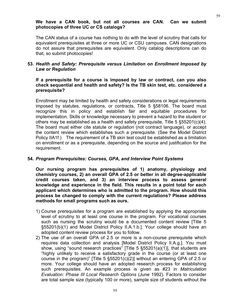#### **We have a CAN book, but not all courses are CAN. Can we submit photocopies of three UC or CS catalogs?**

The CAN status of a course has nothing to do with the level of scrutiny that calls for equivalent prerequisites at three or more UC or CSU campuses. CAN designations do not assure that prerequisites are equivalent. Only catalog descriptions can do that, so submit photocopies!

# **53.** *Health and Safety: Prerequisite versus Limitation on Enrollment Imposed by Law or Regulation*

#### **If a prerequisite for a course is imposed by law or contract, can you also check sequential and health and safety? Is the TB skin test, etc. considered a prerequisite?**

Enrollment may be limited by health and safety considerations or legal requirements imposed by statutes, regulations, or contracts, Title 5 §58106. The board must recognize this in policy and establish fair and equitable procedures for implementation. Skills or knowledge necessary to prevent a hazard to the student or others may be established as a health and safety prerequisite, Title 5 §55201(c)(4). The board must either cite statute or regulation (not contract language), or accept the content review which establishes such a prerequisite. (See the Model District Policy IIA1f.) The requirement of a TB skin test could be established as a limitation on enrollment or as a prerequisite, depending on the source and justification for the requirement.

## **54***. Program Prerequisites: Courses, GPA, and Interview Point Systems*

**Our nursing program has prerequisites of 1) anatomy, physiology and chemistry courses, 2) an overall GPA of 2.5 or better in all degree-applicable credit courses taken, and 3) an interview process to assess general knowledge and experience in the field. This results in a point total for each applicant which determines who is admitted to the program. How should this process be changed to comply with the current regulations? Please address methods for small programs such as ours.**

- 1) Course prerequisites for a program are established by applying the appropriate level of scrutiny to at least one course in the program. For vocational courses such as nursing the scrutiny would be a documented content review [Title 5 §55201(b)(1) and Model District Policy II.A.1.b.]. Your college should have an adopted content review process for you to follow.
- 2) The use of an overall GPA of 2.5 or more is a non-course prerequisite which requires data collection and analysis [Model District Policy II.A.g.]. You must show, using "sound research practices" [Title 5 §55201(a)(1)], that students are "highly unlikely to receive a satisfactory grade in the course (or at least one course in the program)" [Title 5 §55201(c)(2)] without an entering GPA of 2.5 or more. Your college should have an adopted research process for establishing such prerequisites. An example process is given as #23 in *Matriculation Evaluation: Phase III Local Research Options* (June 1992). Factors to consider are total sample size (typically 100 or more), sample size of students without the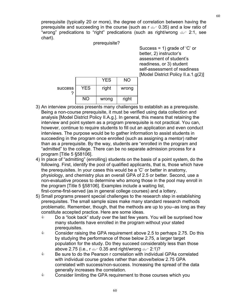prerequisite (typically 20 or more), the degree of correlation between having the prerequisite and succeeding in the course (such as  $r \ll 0.35$ ) and a low ratio of "wrong" predications to "right" predications (such as right/wrong  $\mathcal{A}$  2:1, see chart).

prerequisite?

Success = 1) grade of 'C' or better, 2) instructor's assessment of student's readiness, or 3) student self-assessment of readiness [Model District Policy II.a.1.g(2)]

|                |     | <b>YES</b> | NΟ    |
|----------------|-----|------------|-------|
| <b>SUCCESS</b> | YES | right      | wrong |
|                | NΟ  | wrong      | right |

- 3) An interview process presents many challenges to establish as a prerequisite. Being a non-course prerequisite, it must be verified using data collection and analysis [Model District Policy II.A.g.]. In general, this means that retaining the interview and point system as a program prerequisite is not practical. You can, however, continue to require students to fill out an application and even conduct interviews. The purpose would be to gather information to assist students in succeeding in the program once enrolled (such as assigning a mentor) rather than as a prerequisite. By the way, students are "enrolled in the program and "admitted" to the college. There can be no separate admission process for a program [Title 5 §58106].
- 4) In place of "admitting" (enrolling) students on the basis of a point system, do the following. First, identify the pool of qualified applicants, that is, those which have the prerequisites. In your cases this would be a 'C' or better in anatomy, physiology, and chemistry plus an overall GPA of 2.5 or better. Second, use a non-evaluative process to determine who among those in the pool may enroll in the program [Title 5 §58106]. Examples include a waiting list, first-come-first-served (as in general college courses) and a lottery.
- 5) Small programs present special challenges to the research step in establishing prerequisites. The small sample sizes make many standard research methods problematic. Remember, though, that the methods are up to you--as long as they constitute accepted practice. Here are some ideas.
	- $\Diamond$  Do a "look back" study over the last few years. You will be surprised how many students have enrolled in the program without your stated prerequisites.
	- $\bullet$  Consider raising the GPA requirement above 2.5 to perhaps 2.75. Do this by studying the performance of those below 2.75, a larger target population for the study. Do they succeed considerably less than those above 2.75 (i.e., r  $\infty$  0.35 and right/wrong  $\infty$  2:1)?
	- **EXECT** Be sure to do the Pearson r correlation with individual GPAs correlated with individual course grades rather than above/below 2.75 GPA correlated with success/non-success. Increasing the spread of the data generally increases the correlation.
	- $\Diamond$  Consider limiting the GPA requirement to those courses which you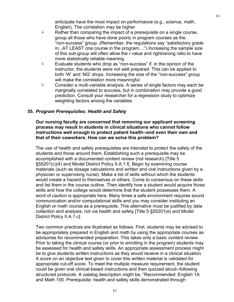61

anticipate have the most impact on performance (e.g., science, math, English). The correlation may be higher.

- $\Diamond$  Rather than comparing the impact of a prerequisite on a single course, group all those who have done poorly in program courses as the "non-success" group. (Remember, the regulations say "satisfactory grade in...AT LEAST one course in the program....") Increasing the sample size of this sub-group will often allow the r value and right/wrong ratio to have more statistically reliable meaning.
- $\Diamond$  Evaluate students who drop as "non-success" if, in the opinion of the instructor, the students were not well prepared. This can be applied to both 'W' and 'NG' drops. Increasing the size of the "non-success" group will make the correlation more meaningful.
- $\Diamond$  Consider a multi-variable analysis. A series of single factors may each be marginally correlated to success, but in combination may provide a good prediction. Consult your researcher for a regression study to optimize weighting factors among the variables.

## **55.** *Program Prerequisites: Health and Safety*

#### **Our nursing faculty are concerned that removing our applicant screening process may result in students in clinical situations who cannot follow instructions well enough to protect patient health--and even their own and that of their coworkers. How can we solve this problem?**

The use of health and safety prerequisites are intended to protect the safety of the students and those around them. Establishing such a prerequisite may be accomplished with a documented content review (not research) [Title 5 §55201(c)(4) and Model District Policy II.A.1.f]. Begin by examining course materials (such as dosage calculations and written and oral instructions given by a physician or supervising nurse). Make a list of skills without which the students would create a hazard to themselves or others. Come to consensus on these skills and list them in the course outline. Then identify how a student would acquire those skills and how the college would determine that the student possesses them. A word of caution is appropriate here. Many times a safe environment requires sound communication and/or computational skills and you may consider instituting an English or math course as a prerequisite. This alternative must be justified by data collection and analysis, not via health and safety [Title 5 §55201(e) and Model District Policy II.A.1.c].

Two common practices are illustrated as follows. First, students may be advised to be appropriately prepared in English and math by using the appropriate courses as advisories for recommended preparation. This takes only a basic content review. Prior to taking the clinical course (or prior to enrolling in the program) students may be assessed for health and safety skills. An appropriate assessment process might be to give students written instructions as they would receive in a clinical situation. A score on an objective test given to cover this written material is validated for appropriate cut-off score. To meet the multiple measure requirement, the student could be given oral clinical-based instructions and then quizzed aloud--following structured protocols. A catalog description might be, "Recommended: English 1A and Math 100. Prerequisite: health and safety skills demonstrated through